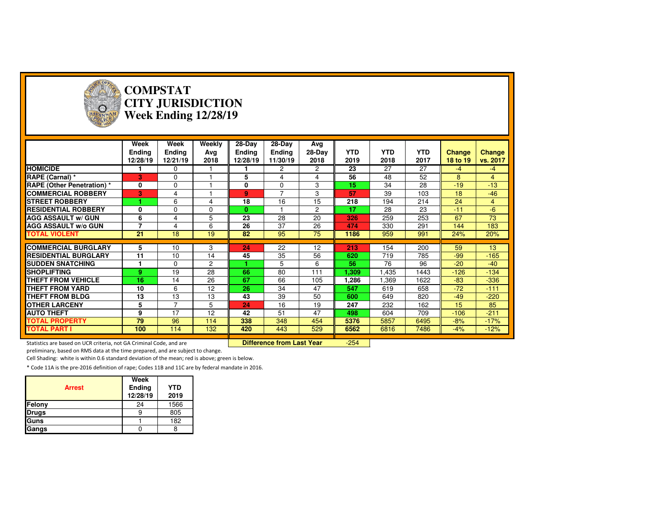

#### **COMPSTAT CITY JURISDICTIONWeek Ending 12/28/19**

|                                   | Week<br><b>Ending</b><br>12/28/19 | Week<br><b>Ending</b><br>12/21/19 | Weekly<br>Avg<br>2018 | $28-Dav$<br><b>Ending</b><br>12/28/19 | 28-Day<br><b>Ending</b><br>11/30/19 | Avg<br>28-Day<br>2018 | <b>YTD</b><br>2019 | <b>YTD</b><br>2018 | <b>YTD</b><br>2017 | Change<br>18 to 19 | Change<br>vs. 2017 |
|-----------------------------------|-----------------------------------|-----------------------------------|-----------------------|---------------------------------------|-------------------------------------|-----------------------|--------------------|--------------------|--------------------|--------------------|--------------------|
| <b>HOMICIDE</b>                   |                                   | 0                                 |                       |                                       | $\overline{2}$                      | $\overline{2}$        | 23                 | 27                 | 27                 | $-4$               | $-4$               |
| RAPE (Carnal) *                   | 3                                 | $\Omega$                          |                       | 5                                     | 4                                   | 4                     | 56                 | 48                 | 52                 | 8                  | 4                  |
| <b>RAPE (Other Penetration) *</b> | 0                                 | 0                                 |                       | 0                                     | 0                                   | 3                     | 15                 | 34                 | 28                 | $-19$              | $-13$              |
| <b>COMMERCIAL ROBBERY</b>         | 3                                 | 4                                 |                       | 9                                     | 7                                   | 3                     | 57                 | 39                 | 103                | 18                 | $-46$              |
| <b>STREET ROBBERY</b>             |                                   | 6                                 | 4                     | 18                                    | 16                                  | 15                    | 218                | 194                | 214                | 24                 | 4                  |
| <b>RESIDENTIAL ROBBERY</b>        | 0                                 | $\Omega$                          | $\Omega$              | $\bf{0}$                              |                                     | $\overline{c}$        | 17                 | 28                 | 23                 | $-11$              | $-6$               |
| <b>AGG ASSAULT w/ GUN</b>         | 6                                 | 4                                 | 5                     | 23                                    | 28                                  | 20                    | 326                | 259                | 253                | 67                 | 73                 |
| <b>AGG ASSAULT w/o GUN</b>        | $\overline{7}$                    | 4                                 | 6                     | 26                                    | 37                                  | 26                    | 474                | 330                | 291                | 144                | 183                |
| <b>TOTAL VIOLENT</b>              | 21                                | 18                                | 19                    | 82                                    | 95                                  | 75                    | 1186               | 959                | 991                | 24%                | 20%                |
|                                   |                                   |                                   |                       |                                       |                                     |                       |                    |                    |                    |                    |                    |
|                                   |                                   |                                   |                       |                                       |                                     |                       |                    |                    |                    |                    |                    |
| <b>COMMERCIAL BURGLARY</b>        | 5                                 | 10                                | 3                     | 24                                    | 22                                  | 12                    | 213                | 154                | 200                | 59                 | 13                 |
| <b>RESIDENTIAL BURGLARY</b>       | 11                                | 10                                | 14                    | 45                                    | 35                                  | 56                    | 620                | 719                | 785                | $-99$              | $-165$             |
| <b>SUDDEN SNATCHING</b>           |                                   | $\Omega$                          | 2                     |                                       | 5                                   | 6                     | 56                 | 76                 | 96                 | $-20$              | $-40$              |
| <b>SHOPLIFTING</b>                | 9                                 | 19                                | 28                    | 66                                    | 80                                  | 111                   | ,309               | .435               | 1443               | $-126$             | $-134$             |
| <b>THEFT FROM VEHICLE</b>         | 16                                | 14                                | 26                    | 67                                    | 66                                  | 105                   | 1,286              | 1,369              | 1622               | $-83$              | $-336$             |
| <b>THEFT FROM YARD</b>            | 10                                | 6                                 | 12                    | 26                                    | 34                                  | 47                    | 547                | 619                | 658                | $-72$              | $-111$             |
| <b>THEFT FROM BLDG</b>            | 13                                | 13                                | 13                    | 43                                    | 39                                  | 50                    | 600                | 649                | 820                | $-49$              | $-220$             |
| <b>OTHER LARCENY</b>              | 5                                 | 7                                 | 5                     | 24                                    | 16                                  | 19                    | 247                | 232                | 162                | 15                 | 85                 |
| <b>AUTO THEFT</b>                 | 9                                 | 17                                | 12                    | 42                                    | 51                                  | 47                    | 498                | 604                | 709                | $-106$             | $-211$             |
| <b>TOTAL PROPERTY</b>             | 79                                | 96                                | 114                   | 338                                   | 348                                 | 454                   | 5376               | 5857               | 6495               | $-8%$              | $-17%$             |
| <b>TOTAL PART I</b>               | 100                               | 114                               | 132                   | 420                                   | 443                                 | 529                   | 6562               | 6816               | 7486               | $-4%$              | $-12%$             |

Statistics are based on UCR criteria, not GA Criminal Code, and are **Difference from Last Year** 

preliminary, based on RMS data at the time prepared, and are subject to change.

Cell Shading: white is within 0.6 standard deviation of the mean; red is above; green is below.

| <b>Arrest</b> | Week<br>Ending<br>12/28/19 | <b>YTD</b><br>2019 |
|---------------|----------------------------|--------------------|
| Felony        | 24                         | 1566               |
| <b>Drugs</b>  |                            | 805                |
| Guns          |                            | 182                |
| Gangs         |                            |                    |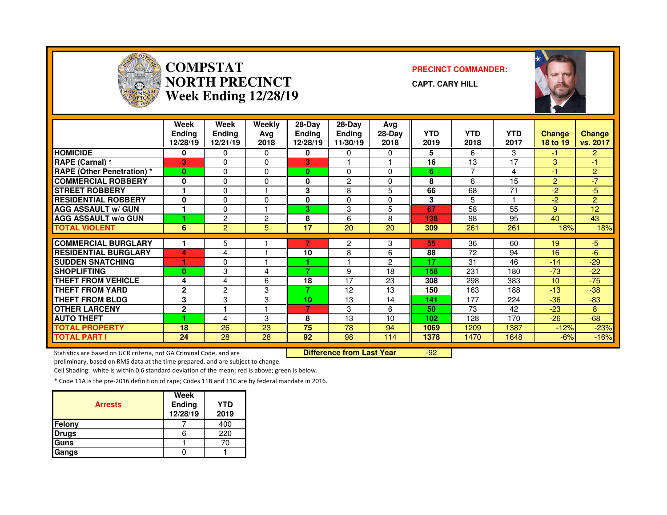

#### **COMPSTAT PRECINCT COMMANDER: NORTH PRECINCTWeek Ending 12/28/19**





|                                   | Week<br><b>Endina</b><br>12/28/19 | Week<br><b>Endina</b><br>12/21/19 | Weekly<br>Ava<br>2018 | $28-Dav$<br><b>Endina</b><br>12/28/19 | $28-Dav$<br><b>Endina</b><br>11/30/19 | Avg<br>28-Day<br>2018 | <b>YTD</b><br>2019 | <b>YTD</b><br>2018 | <b>YTD</b><br>2017 | <b>Change</b><br>18 to 19 | Change<br>vs. 2017 |
|-----------------------------------|-----------------------------------|-----------------------------------|-----------------------|---------------------------------------|---------------------------------------|-----------------------|--------------------|--------------------|--------------------|---------------------------|--------------------|
| <b>HOMICIDE</b>                   | 0                                 | 0                                 | $\Omega$              | 0                                     | 0                                     | 0                     | 5                  | 6.                 | 3                  | -1                        | $\overline{2}$     |
| RAPE (Carnal) *                   | 3                                 | 0                                 | $\Omega$              | 3                                     |                                       |                       | 16                 | 13                 | 17                 | 3                         | -17                |
| <b>RAPE (Other Penetration) *</b> | $\mathbf{0}$                      | 0                                 | $\Omega$              | 0                                     | $\Omega$                              | $\Omega$              | 6                  | 7                  | 4                  | -1                        | $\overline{2}$     |
| <b>COMMERCIAL ROBBERY</b>         | $\bf{0}$                          | 0                                 | $\Omega$              | 0                                     | $\overline{c}$                        | $\Omega$              | 8                  | 6                  | 15                 | 2                         | $-7$               |
| <b>STREET ROBBERY</b>             | 1                                 | 0                                 |                       | 3                                     | 8                                     | 5                     | 66                 | 68                 | 71                 | $-2$                      | -5                 |
| <b>RESIDENTIAL ROBBERY</b>        | 0                                 | 0                                 | 0                     | 0                                     | $\Omega$                              | $\Omega$              | 3                  | 5                  |                    | -2                        | $\overline{2}$     |
| <b>AGG ASSAULT w/ GUN</b>         | 1                                 | 0                                 |                       | 3                                     | 3                                     | 5                     | 67                 | 58                 | 55                 | 9                         | 12                 |
| <b>AGG ASSAULT w/o GUN</b>        |                                   | 2                                 | 2                     | 8                                     | 6                                     | 8                     | 138                | 98                 | 95                 | 40                        | 43                 |
| <b>TOTAL VIOLENT</b>              | 6                                 | $\overline{2}$                    | 5                     | 17                                    | 20                                    | 20                    | 309                | 261                | 261                | 18%                       | 18%                |
|                                   |                                   |                                   |                       |                                       |                                       |                       |                    |                    |                    |                           |                    |
| <b>COMMERCIAL BURGLARY</b>        |                                   | 5                                 |                       |                                       | 2                                     | 3                     | 55                 | 36                 | 60                 | 19                        | -5                 |
| <b>RESIDENTIAL BURGLARY</b>       | 4                                 | 4                                 |                       | 10                                    | 8                                     | 6                     | 88                 | 72                 | 94                 | 16                        | $-6$               |
| <b>SUDDEN SNATCHING</b>           |                                   | 0                                 |                       |                                       |                                       | 2                     | 17                 | 31                 | 46                 | $-14$                     | $-29$              |
| <b>SHOPLIFTING</b>                | $\mathbf{0}$                      | 3                                 | 4                     | 7                                     | 9                                     | 18                    | 158                | 231                | 180                | $-73$                     | $-22$              |
| <b>THEFT FROM VEHICLE</b>         | 4                                 | 4                                 | 6                     | 18                                    | 17                                    | 23                    | 308                | 298                | 383                | 10 <sup>1</sup>           | $-75$              |
| <b>THEFT FROM YARD</b>            | $\overline{2}$                    | 2                                 | 3                     | 7                                     | 12                                    | 13                    | 150                | 163                | 188                | $-13$                     | $-38$              |
| <b>THEFT FROM BLDG</b>            | 3                                 | 3                                 | 3                     | 10                                    | 13                                    | 14                    | 141                | 177                | 224                | $-36$                     | $-83$              |
| <b>OTHER LARCENY</b>              | $\mathbf{2}$                      |                                   |                       | $\overline{7}$                        | 3                                     | 6                     | 50                 | 73                 | 42                 | $-23$                     | 8                  |
| <b>AUTO THEFT</b>                 |                                   | 4                                 | 3                     | 8                                     | 13                                    | 10                    | 102                | 128                | 170                | $-26$                     | $-68$              |
| <b>TOTAL PROPERTY</b>             | 18                                | 26                                | 23                    | 75                                    | 78                                    | 94                    | 1069               | 1209               | 1387               | $-12%$                    | $-23%$             |
| <b>TOTAL PART I</b>               | 24                                | 28                                | 28                    | 92                                    | 98                                    | 114                   | 1378               | 1470               | 1648               | $-6%$                     | $-16%$             |

Statistics are based on UCR criteria, not GA Criminal Code, and are **Difference from Last Year** 

-92

preliminary, based on RMS data at the time prepared, and are subject to change.

Cell Shading: white is within 0.6 standard deviation of the mean; red is above; green is below.

| <b>Arrests</b> | <b>Week</b><br>Ending<br>12/28/19 | <b>YTD</b><br>2019 |
|----------------|-----------------------------------|--------------------|
| <b>Felony</b>  |                                   | 400                |
| <b>Drugs</b>   |                                   | 220                |
| <b>Guns</b>    |                                   | 70                 |
| Gangs          |                                   |                    |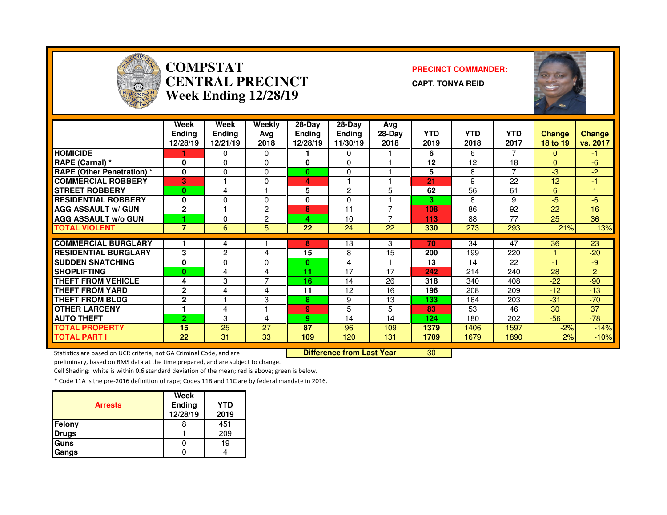

#### **COMPSTAT PRECINCT COMMANDER: CENTRAL PRECINCTWeek Ending 12/28/19**

**CAPT. TONYA REID**



|                                   | Week<br><b>Endina</b><br>12/28/19 | Week<br>Ending<br>12/21/19 | Weekly<br>Ava<br>2018    | 28-Day<br>Endina<br>12/28/19 | $28-Dav$<br><b>Ending</b><br>11/30/19 | Avg<br>$28-Day$<br>2018 | <b>YTD</b><br>2019 | <b>YTD</b><br>2018 | <b>YTD</b><br>2017 | <b>Change</b><br>18 to 19 | <b>Change</b><br>vs. 2017 |
|-----------------------------------|-----------------------------------|----------------------------|--------------------------|------------------------------|---------------------------------------|-------------------------|--------------------|--------------------|--------------------|---------------------------|---------------------------|
| <b>HOMICIDE</b>                   |                                   | 0                          | $\mathbf{0}$             |                              | 0                                     |                         | 6                  | 6                  | 7                  | $\Omega$                  | $-1$                      |
| RAPE (Carnal) *                   | 0                                 | 0                          | $\Omega$                 | $\bf{0}$                     | 0                                     |                         | 12                 | 12                 | 18                 | $\Omega$                  | -6                        |
| <b>RAPE (Other Penetration) *</b> | $\bf{0}$                          | 0                          | $\Omega$                 | 0                            | $\Omega$                              |                         | 5                  | 8                  | $\overline{ }$     | -3                        | $-2$                      |
| <b>COMMERCIAL ROBBERY</b>         | $\mathbf{3}$                      |                            | $\Omega$                 | 4                            |                                       |                         | 21                 | 9                  | 22                 | 12                        | -1                        |
| <b>STREET ROBBERY</b>             | $\bf{0}$                          | 4                          |                          | 5                            | 2                                     | 5                       | 62                 | 56                 | 61                 | 6                         |                           |
| <b>RESIDENTIAL ROBBERY</b>        | $\bf{0}$                          | 0                          | $\Omega$                 | 0                            | 0                                     |                         | 3                  | 8                  | 9                  | -5                        | -6                        |
| <b>AGG ASSAULT w/ GUN</b>         | $\mathbf{2}$                      |                            | 2                        | 8                            | 11                                    | ⇁                       | 108                | 86                 | 92                 | 22                        | 16                        |
| <b>AGG ASSAULT w/o GUN</b>        |                                   | 0                          | 2                        | 4                            | 10                                    | ⇁                       | 113                | 88                 | 77                 | 25                        | 36                        |
| <b>TOTAL VIOLENT</b>              | $\overline{7}$                    | 6                          | 5                        | 22                           | 24                                    | 22                      | 330                | 273                | 293                | 21%                       | 13%                       |
|                                   |                                   |                            |                          |                              |                                       |                         |                    |                    |                    |                           |                           |
| <b>COMMERCIAL BURGLARY</b>        |                                   | 4                          |                          | 8                            | 13                                    | 3                       | 70                 | 34                 | 47                 | 36                        | 23                        |
| <b>RESIDENTIAL BURGLARY</b>       | 3                                 | 2                          | 4                        | 15                           | 8                                     | 15                      | 200                | 199                | 220                |                           | $-20$                     |
| <b>ISUDDEN SNATCHING</b>          | $\bf{0}$                          | 0                          | 0                        | 0                            | 4                                     |                         | 13                 | 14                 | 22                 | $-1$                      | $-9$                      |
| <b>SHOPLIFTING</b>                | $\bf{0}$                          | 4                          | 4                        | 11                           | 17                                    | 17                      | 242                | 214                | 240                | 28                        | $\overline{2}$            |
| <b>THEFT FROM VEHICLE</b>         | 4                                 | 3                          | $\overline{\phantom{a}}$ | 16                           | 14                                    | 26                      | 318                | 340                | 408                | $-22$                     | $-90$                     |
| <b>THEFT FROM YARD</b>            | $\overline{2}$                    | 4                          | 4                        | 11                           | 12                                    | 16                      | 196                | 208                | 209                | $-12$                     | $-13$                     |
| <b>THEFT FROM BLDG</b>            | $\overline{2}$                    |                            | 3                        | 8                            | 9                                     | 13                      | 133                | 164                | 203                | $-31$                     | $-70$                     |
| <b>OTHER LARCENY</b>              | ۴                                 | 4                          |                          | 9                            | 5                                     | 5                       | 83                 | 53                 | 46                 | 30                        | 37                        |
| <b>AUTO THEFT</b>                 | $\overline{2}$                    | 3                          | 4                        | 9                            | 14                                    | 14                      | 124                | 180                | 202                | $-56$                     | $-78$                     |
| <b>TOTAL PROPERTY</b>             | 15                                | 25                         | 27                       | 87                           | 96                                    | 109                     | 1379               | 1406               | 1597               | $-2%$                     | $-14%$                    |
| <b>TOTAL PART I</b>               | 22                                | 31                         | 33                       | 109                          | 120                                   | 131                     | 1709               | 1679               | 1890               | 2%                        | $-10%$                    |

Statistics are based on UCR criteria, not GA Criminal Code, and are **Difference from Last Year** 

<sup>30</sup>

preliminary, based on RMS data at the time prepared, and are subject to change.

Cell Shading: white is within 0.6 standard deviation of the mean; red is above; green is below.

| <b>Arrests</b> | Week<br>Ending<br>12/28/19 | <b>YTD</b><br>2019 |
|----------------|----------------------------|--------------------|
| Felony         |                            | 451                |
| <b>Drugs</b>   |                            | 209                |
| Guns           |                            | 19                 |
| Gangs          |                            |                    |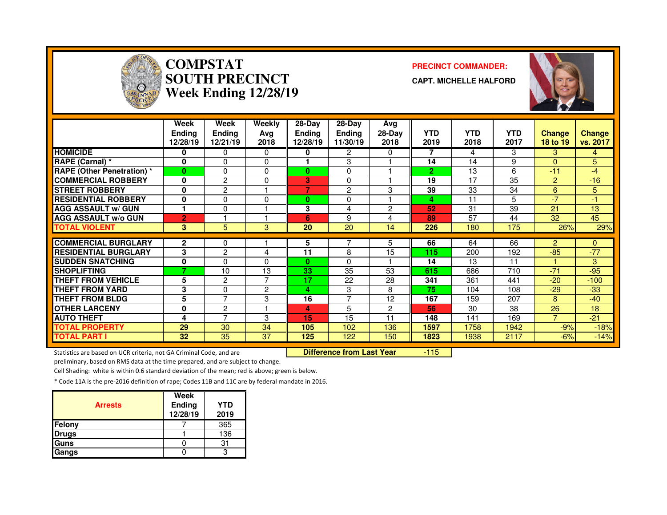

# **COMPSTAT PRECINCT COMMANDER: SOUTH PRECINCTWeek Ending 12/28/19**

**CAPT. MICHELLE HALFORD**



|                                   | Week<br><b>Ending</b><br>12/28/19 | Week<br><b>Ending</b><br>12/21/19 | Weekly<br>Avg<br>2018 | 28-Day<br><b>Ending</b><br>12/28/19 | $28-Dav$<br><b>Ending</b><br>11/30/19 | Avg<br>$28-Day$<br>2018 | <b>YTD</b><br>2019 | <b>YTD</b><br>2018 | <b>YTD</b><br>2017 | <b>Change</b><br>18 to 19 | <b>Change</b><br>vs. 2017 |
|-----------------------------------|-----------------------------------|-----------------------------------|-----------------------|-------------------------------------|---------------------------------------|-------------------------|--------------------|--------------------|--------------------|---------------------------|---------------------------|
| <b>HOMICIDE</b>                   | 0                                 | 0                                 | 0                     | 0                                   | 2                                     | 0                       | 7                  | 4                  | 3                  | 3                         | 4                         |
| RAPE (Carnal) *                   | 0                                 | 0                                 | $\Omega$              |                                     | 3                                     |                         | 14                 | 14                 | 9                  | $\Omega$                  | 5                         |
| <b>RAPE (Other Penetration)</b> * | $\bf{0}$                          | 0                                 | $\Omega$              | $\bf{0}$                            | $\Omega$                              |                         | $\overline{2}$     | 13                 | 6                  | $-11$                     | $-4$                      |
| <b>COMMERCIAL ROBBERY</b>         | $\bf{0}$                          | $\overline{c}$                    | $\Omega$              | 3                                   | 0                                     |                         | 19                 | 17                 | 35                 | $\overline{2}$            | $-16$                     |
| <b>STREET ROBBERY</b>             | 0                                 | $\overline{c}$                    |                       | 7                                   | $\overline{2}$                        | 3                       | 39                 | 33                 | 34                 | 6                         | 5                         |
| <b>RESIDENTIAL ROBBERY</b>        | 0                                 | 0                                 | $\Omega$              | $\mathbf{0}$                        | 0                                     |                         | 4                  | 11                 | 5                  | $-7$                      | $-1$                      |
| <b>AGG ASSAULT w/ GUN</b>         |                                   | $\Omega$                          |                       | 3                                   | 4                                     | $\overline{c}$          | 52                 | 31                 | 39                 | 21                        | 13                        |
| <b>AGG ASSAULT w/o GUN</b>        | $\overline{2}$                    |                                   |                       | 6                                   | 9                                     | 4                       | 89                 | 57                 | 44                 | 32                        | 45                        |
| <b>TOTAL VIOLENT</b>              | 3 <sup>1</sup>                    | 5                                 | 3                     | 20                                  | 20                                    | 14                      | 226                | 180                | 175                | 26%                       | 29%                       |
|                                   |                                   |                                   |                       |                                     |                                       |                         |                    |                    |                    |                           |                           |
| <b>COMMERCIAL BURGLARY</b>        | $\overline{2}$                    | 0                                 |                       | 5                                   |                                       | 5.                      | 66                 | 64                 | 66                 | 2                         | $\mathbf{0}$              |
| <b>RESIDENTIAL BURGLARY</b>       | 3                                 | $\overline{c}$                    | 4                     | 11                                  | 8                                     | 15                      | 115                | 200                | 192                | $-85$                     | $-77$                     |
| <b>SUDDEN SNATCHING</b>           | 0                                 | 0                                 | $\Omega$              | $\bf{0}$                            | 0                                     |                         | 14                 | 13                 | 11                 |                           | 3                         |
| <b>SHOPLIFTING</b>                | ۰,                                | 10                                | 13                    | 33                                  | 35                                    | 53                      | 615                | 686                | 710                | $-71$                     | $-95$                     |
| <b>THEFT FROM VEHICLE</b>         | 5                                 | 2                                 | 7                     | 17                                  | 22                                    | 28                      | 341                | 361                | 441                | $-20$                     | $-100$                    |
| <b>THEFT FROM YARD</b>            | 3                                 | 0                                 | 2                     | 4                                   | 3                                     | 8                       | 75                 | 104                | 108                | $-29$                     | $-33$                     |
| <b>THEFT FROM BLDG</b>            | 5                                 | $\overline{ }$                    | 3                     | 16                                  | $\overline{7}$                        | 12                      | 167                | 159                | 207                | 8                         | $-40$                     |
| <b>OTHER LARCENY</b>              | 0                                 | $\overline{c}$                    | -1                    | 4                                   | 5                                     | 2                       | 56                 | 30                 | 38                 | 26                        | 18                        |
| <b>AUTO THEFT</b>                 | 4                                 | $\overline{ }$                    | 3                     | 15                                  | 15                                    | 11                      | 148                | 141                | 169                | $\overline{ }$            | $-21$                     |
| <b>TOTAL PROPERTY</b>             | 29                                | 30                                | 34                    | 105                                 | 102                                   | 136                     | 1597               | 1758               | 1942               | $-9%$                     | $-18%$                    |
| <b>TOTAL PART I</b>               | 32                                | 35                                | 37                    | 125                                 | 122                                   | 150                     | 1823               | 1938               | 2117               | $-6%$                     | $-14%$                    |

Statistics are based on UCR criteria, not GA Criminal Code, and are **Difference from Last Year** 

-115

preliminary, based on RMS data at the time prepared, and are subject to change.

Cell Shading: white is within 0.6 standard deviation of the mean; red is above; green is below.

| <b>Arrests</b> | Week<br>Ending<br>12/28/19 | YTD<br>2019 |
|----------------|----------------------------|-------------|
| Felony         |                            | 365         |
| Drugs          |                            | 136         |
| Guns           |                            | 31          |
| Gangs          |                            |             |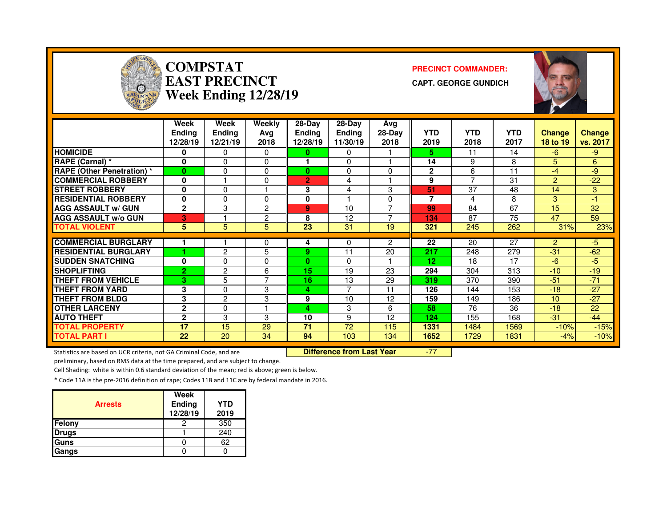

# **COMPSTAT PRECINCT COMMANDER: EAST PRECINCTWeek Ending 12/28/19**

**CAPT. GEORGE GUNDICH**



|                                   | <b>Week</b><br><b>Ending</b><br>12/28/19 | <b>Week</b><br><b>Endina</b><br>12/21/19 | <b>Weekly</b><br>Avg<br>2018 | 28-Day<br><b>Ending</b><br>12/28/19 | 28-Day<br><b>Ending</b><br>11/30/19 | Avg<br>28-Day<br>2018 | <b>YTD</b><br>2019 | <b>YTD</b><br>2018 | <b>YTD</b><br>2017 | <b>Change</b><br>18 to 19 | <b>Change</b><br>vs. 2017 |
|-----------------------------------|------------------------------------------|------------------------------------------|------------------------------|-------------------------------------|-------------------------------------|-----------------------|--------------------|--------------------|--------------------|---------------------------|---------------------------|
| <b>HOMICIDE</b>                   | 0                                        | 0                                        | 0                            | 0                                   | $\Omega$                            |                       | 5.                 | 11                 | 14                 | $-6$                      | -9                        |
| RAPE (Carnal) *                   | $\bf{0}$                                 | $\Omega$                                 | 0                            |                                     | $\Omega$                            |                       | 14                 | 9                  | 8                  | 5                         | 6                         |
| <b>RAPE (Other Penetration)</b> * | $\bf{0}$                                 | 0                                        | 0                            | 0                                   | $\Omega$                            | 0                     | $\mathbf{2}$       | 6                  | 11                 | $-4$                      | -9                        |
| <b>COMMERCIAL ROBBERY</b>         | 0                                        |                                          | 0                            | $\overline{2}$                      | 4                                   |                       | 9                  | ⇁                  | 31                 | $\overline{2}$            | $-22$                     |
| <b>STREET ROBBERY</b>             | 0                                        | $\Omega$                                 |                              | 3                                   | 4                                   | 3                     | 51                 | 37                 | 48                 | 14                        | 3                         |
| <b>RESIDENTIAL ROBBERY</b>        | 0                                        | $\Omega$                                 | 0                            | 0                                   |                                     | 0                     | 7                  | 4                  | 8                  | 3                         | -1                        |
| <b>AGG ASSAULT w/ GUN</b>         | $\mathbf{2}$                             | 3                                        | 2                            | 9                                   | 10                                  | ⇁                     | 99                 | 84                 | 67                 | 15                        | 32                        |
| <b>AGG ASSAULT w/o GUN</b>        | 3                                        |                                          | $\overline{2}$               | 8                                   | 12                                  |                       | 134                | 87                 | 75                 | 47                        | 59                        |
| <b>TOTAL VIOLENT</b>              | 5                                        | 5                                        | 5                            | 23                                  | 31                                  | 19                    | 321                | 245                | 262                | 31%                       | 23%                       |
|                                   |                                          |                                          |                              |                                     |                                     |                       |                    |                    |                    |                           |                           |
| <b>COMMERCIAL BURGLARY</b>        |                                          |                                          | 0                            | 4                                   | 0                                   | $\overline{2}$        | 22                 | 20                 | 27                 | $\overline{2}$            | $-5$                      |
| <b>RESIDENTIAL BURGLARY</b>       |                                          | $\overline{2}$                           | 5                            | 9                                   | 11                                  | 20                    | 217                | 248                | 279                | $-31$                     | $-62$                     |
| <b>ISUDDEN SNATCHING</b>          | 0                                        | $\Omega$                                 | 0                            | 0                                   | $\Omega$                            |                       | 12                 | 18                 | 17                 | $-6$                      | $-5$                      |
| <b>SHOPLIFTING</b>                | $\overline{2}$                           | $\overline{2}$                           | 6                            | 15                                  | 19                                  | 23                    | 294                | 304                | 313                | $-10$                     | $-19$                     |
| <b>THEFT FROM VEHICLE</b>         | 3                                        | 5                                        | 7                            | 16                                  | 13                                  | 29                    | 319                | 370                | 390                | $-51$                     | $-71$                     |
| <b>THEFT FROM YARD</b>            | 3                                        | 0                                        | 3                            | 4                                   | $\overline{ }$                      | 11                    | 126                | 144                | 153                | $-18$                     | $-27$                     |
| <b>THEFT FROM BLDG</b>            | 3                                        | $\overline{2}$                           | 3                            | 9                                   | 10                                  | 12                    | 159                | 149                | 186                | 10                        | $-27$                     |
| <b>OTHER LARCENY</b>              | $\mathbf{2}$                             | $\Omega$                                 | ٠                            | 4                                   | 3                                   | 6                     | 58                 | 76                 | 36                 | $-18$                     | 22                        |
| <b>AUTO THEFT</b>                 | $\mathbf{2}$                             | 3                                        | 3                            | 10                                  | 9                                   | 12                    | 124                | 155                | 168                | $-31$                     | $-44$                     |
| <b>TOTAL PROPERTY</b>             | 17                                       | 15                                       | 29                           | 71                                  | 72                                  | 115                   | 1331               | 1484               | 1569               | $-10%$                    | $-15%$                    |
| <b>TOTAL PART I</b>               | 22                                       | 20                                       | 34                           | 94                                  | 103                                 | 134                   | 1652               | 1729               | 1831               | $-4%$                     | $-10%$                    |

Statistics are based on UCR criteria, not GA Criminal Code, and are **Difference from Last Year** 

-77

preliminary, based on RMS data at the time prepared, and are subject to change.

Cell Shading: white is within 0.6 standard deviation of the mean; red is above; green is below.

| <b>Arrests</b> | Week<br>Ending<br>12/28/19 | <b>YTD</b><br>2019 |
|----------------|----------------------------|--------------------|
| Felony         |                            | 350                |
| <b>Drugs</b>   |                            | 240                |
| <b>Guns</b>    |                            | 62                 |
| Gangs          |                            |                    |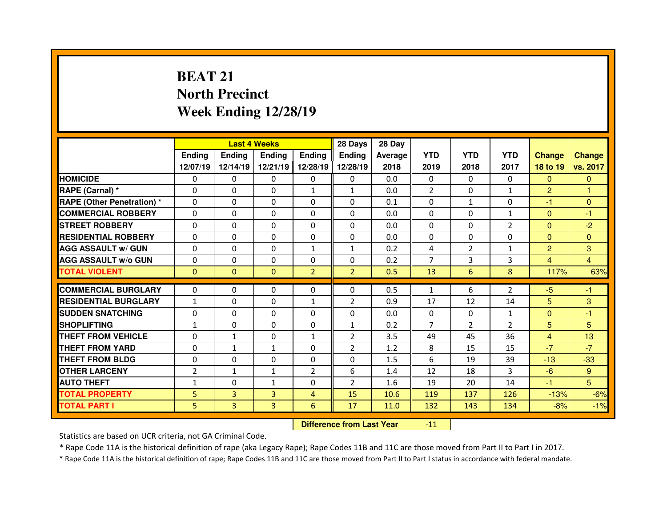# **BEAT 21 North PrecinctWeek Ending 12/28/19**

|                                   |                |                | <b>Last 4 Weeks</b> |                | 28 Days        | 28 Day  |                |                |                |                |                |
|-----------------------------------|----------------|----------------|---------------------|----------------|----------------|---------|----------------|----------------|----------------|----------------|----------------|
|                                   | <b>Ending</b>  | Ending         | Ending              | <b>Ending</b>  | Ending         | Average | <b>YTD</b>     | <b>YTD</b>     | <b>YTD</b>     | <b>Change</b>  | <b>Change</b>  |
|                                   | 12/07/19       | 12/14/19       | 12/21/19            | 12/28/19       | 12/28/19       | 2018    | 2019           | 2018           | 2017           | 18 to 19       | vs. 2017       |
| <b>HOMICIDE</b>                   | $\mathbf{0}$   | $\Omega$       | 0                   | $\mathbf{0}$   | 0              | 0.0     | $\Omega$       | $\Omega$       | $\Omega$       | $\mathbf{0}$   | $\mathbf{0}$   |
| RAPE (Carnal) *                   | $\Omega$       | $\Omega$       | $\Omega$            | $\mathbf{1}$   | $\mathbf{1}$   | 0.0     | 2              | $\Omega$       | $\mathbf{1}$   | $\overline{2}$ | 1              |
| <b>RAPE (Other Penetration) *</b> | 0              | $\Omega$       | $\Omega$            | $\Omega$       | $\Omega$       | 0.1     | $\Omega$       | $\mathbf{1}$   | $\Omega$       | -1             | $\Omega$       |
| <b>COMMERCIAL ROBBERY</b>         | $\Omega$       | 0              | $\mathbf{0}$        | $\mathbf{0}$   | 0              | 0.0     | $\Omega$       | $\Omega$       | $\mathbf{1}$   | $\mathbf{0}$   | -1             |
| <b>STREET ROBBERY</b>             | $\Omega$       | $\Omega$       | $\Omega$            | $\Omega$       | $\Omega$       | 0.0     | $\Omega$       | $\Omega$       | $\overline{2}$ | $\Omega$       | $-2$           |
| <b>RESIDENTIAL ROBBERY</b>        | $\Omega$       | $\Omega$       | $\Omega$            | $\Omega$       | $\Omega$       | 0.0     | $\Omega$       | $\Omega$       | $\Omega$       | $\Omega$       | $\Omega$       |
| <b>AGG ASSAULT w/ GUN</b>         | 0              | $\Omega$       | $\Omega$            | $\mathbf{1}$   | $\mathbf{1}$   | 0.2     | 4              | $\overline{2}$ | $\mathbf{1}$   | $\overline{2}$ | 3 <sup>1</sup> |
| <b>AGG ASSAULT w/o GUN</b>        | 0              | 0              | 0                   | 0              | $\Omega$       | 0.2     | $\overline{7}$ | 3              | 3              | $\overline{4}$ | $\overline{4}$ |
| <b>TOTAL VIOLENT</b>              | $\mathbf{0}$   | $\mathbf{0}$   | $\mathbf{0}$        | $\overline{2}$ | $\overline{2}$ | 0.5     | 13             | 6              | 8              | 117%           | 63%            |
|                                   |                |                |                     |                |                |         |                |                |                |                |                |
| <b>COMMERCIAL BURGLARY</b>        | 0              | 0              | 0                   | 0              | $\Omega$       | 0.5     | $\mathbf{1}$   | 6              | $\overline{2}$ | $-5$           | -1             |
| <b>RESIDENTIAL BURGLARY</b>       | $\mathbf{1}$   | 0              | 0                   | 1              | $\overline{2}$ | 0.9     | 17             | 12             | 14             | 5              | 3              |
| <b>SUDDEN SNATCHING</b>           | 0              | 0              | 0                   | 0              | 0              | 0.0     | 0              | $\mathbf{0}$   | $\mathbf{1}$   | $\overline{0}$ | $-1$           |
| <b>SHOPLIFTING</b>                | $\mathbf{1}$   | 0              | $\Omega$            | 0              | $\mathbf{1}$   | 0.2     | $\overline{7}$ | $\overline{2}$ | $\overline{2}$ | 5              | 5              |
| <b>THEFT FROM VEHICLE</b>         | 0              | $\mathbf{1}$   | 0                   | $\mathbf{1}$   | $\overline{2}$ | 3.5     | 49             | 45             | 36             | $\overline{4}$ | 13             |
| <b>THEFT FROM YARD</b>            | 0              | $\mathbf{1}$   | 1                   | 0              | $\overline{2}$ | 1.2     | 8              | 15             | 15             | $-7$           | $-7$           |
| <b>THEFT FROM BLDG</b>            | 0              | $\Omega$       | $\Omega$            | $\Omega$       | $\Omega$       | 1.5     | 6              | 19             | 39             | $-13$          | $-33$          |
| <b>OTHER LARCENY</b>              | $\overline{2}$ | $\mathbf{1}$   | $\mathbf{1}$        | $\overline{2}$ | 6              | 1.4     | 12             | 18             | 3              | $-6$           | 9              |
| <b>AUTO THEFT</b>                 | $\mathbf{1}$   | 0              | $\mathbf{1}$        | $\Omega$       | $\overline{2}$ | 1.6     | 19             | 20             | 14             | -1             | 5              |
| <b>TOTAL PROPERTY</b>             | 5              | 3              | 3                   | $\overline{4}$ | 15             | 10.6    | 119            | 137            | 126            | $-13%$         | $-6%$          |
| <b>TOTAL PART I</b>               | 5              | $\overline{3}$ | 3                   | 6              | 17             | 11.0    | 132            | 143            | 134            | $-8%$          | $-1%$          |
|                                   |                |                |                     |                |                |         |                |                |                |                |                |

 **Difference from Last Year**-11

Statistics are based on UCR criteria, not GA Criminal Code.

\* Rape Code 11A is the historical definition of rape (aka Legacy Rape); Rape Codes 11B and 11C are those moved from Part II to Part I in 2017.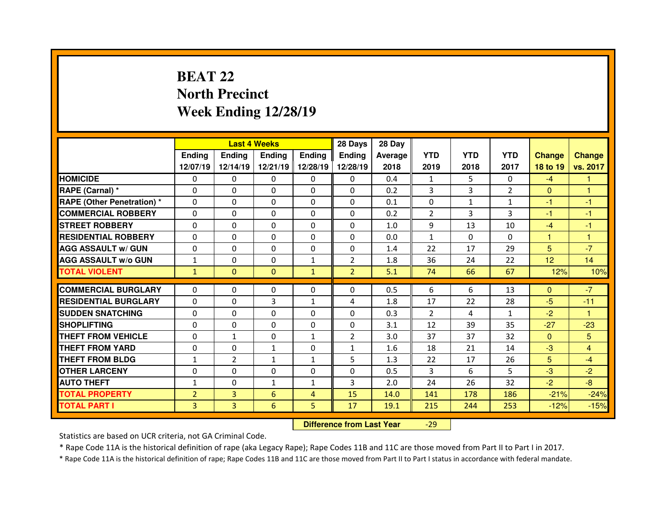## **BEAT 22 North PrecinctWeek Ending 12/28/19**

|                                  |                |                | <b>Last 4 Weeks</b> |                   | 28 Days        | 28 Day  |                |              |                |                 |               |
|----------------------------------|----------------|----------------|---------------------|-------------------|----------------|---------|----------------|--------------|----------------|-----------------|---------------|
|                                  | <b>Ending</b>  | <b>Ending</b>  | Ending              | <b>Ending</b>     | Ending         | Average | <b>YTD</b>     | <b>YTD</b>   | <b>YTD</b>     | <b>Change</b>   | <b>Change</b> |
|                                  | 12/07/19       | 12/14/19       |                     | 12/21/19 12/28/19 | 12/28/19       | 2018    | 2019           | 2018         | 2017           | 18 to 19        | vs. 2017      |
| <b>HOMICIDE</b>                  | $\Omega$       | 0              | $\Omega$            | $\Omega$          | 0              | 0.4     | 1              | 5.           | $\Omega$       | $-4$            | 1             |
| RAPE (Carnal) *                  | 0              | 0              | $\mathbf{0}$        | $\Omega$          | 0              | 0.2     | 3              | 3            | $\overline{2}$ | $\mathbf{0}$    | 1             |
| <b>RAPE (Other Penetration)*</b> | 0              | $\Omega$       | $\Omega$            | $\Omega$          | 0              | 0.1     | 0              | $\mathbf{1}$ | $\mathbf{1}$   | -1              | $-1$          |
| <b>COMMERCIAL ROBBERY</b>        | $\Omega$       | 0              | $\Omega$            | $\Omega$          | 0              | 0.2     | 2              | 3            | 3              | -1              | $-1$          |
| <b>STREET ROBBERY</b>            | 0              | $\Omega$       | $\mathbf{0}$        | $\Omega$          | 0              | 1.0     | 9              | 13           | 10             | $-4$            | -1            |
| <b>RESIDENTIAL ROBBERY</b>       | $\Omega$       | $\Omega$       | $\mathbf{0}$        | $\Omega$          | $\Omega$       | 0.0     | $\mathbf{1}$   | $\Omega$     | $\Omega$       | 1               | 1             |
| <b>AGG ASSAULT w/ GUN</b>        | $\Omega$       | 0              | $\Omega$            | $\Omega$          | 0              | 1.4     | 22             | 17           | 29             | 5               | $-7$          |
| <b>AGG ASSAULT w/o GUN</b>       | $\mathbf{1}$   | $\Omega$       | $\mathbf{0}$        | $\mathbf{1}$      | $\overline{2}$ | 1.8     | 36             | 24           | 22             | 12 <sub>2</sub> | 14            |
| <b>TOTAL VIOLENT</b>             | $\mathbf{1}$   | $\mathbf{0}$   | $\mathbf{0}$        | $\mathbf{1}$      | 2 <sup>1</sup> | 5.1     | 74             | 66           | 67             | 12%             | 10%           |
|                                  |                |                |                     |                   |                |         |                |              |                |                 |               |
| <b>COMMERCIAL BURGLARY</b>       | 0              | 0              | 0                   | 0                 | 0              | 0.5     | 6              | 6            | 13             | $\mathbf{0}$    | $-7$          |
| <b>RESIDENTIAL BURGLARY</b>      | $\Omega$       | 0              | 3                   | 1                 | 4              | 1.8     | 17             | 22           | 28             | $-5$            | $-11$         |
| <b>SUDDEN SNATCHING</b>          | 0              | $\Omega$       | $\Omega$            | $\Omega$          | 0              | 0.3     | $\overline{2}$ | 4            | $\mathbf{1}$   | $-2$            | $\mathbf{1}$  |
| <b>SHOPLIFTING</b>               | 0              | $\Omega$       | 0                   | $\Omega$          | 0              | 3.1     | 12             | 39           | 35             | $-27$           | $-23$         |
| <b>THEFT FROM VEHICLE</b>        | 0              | $\mathbf{1}$   | 0                   | $\mathbf{1}$      | $\overline{2}$ | 3.0     | 37             | 37           | 32             | $\mathbf{0}$    | 5             |
| <b>THEFT FROM YARD</b>           | 0              | $\Omega$       | $\mathbf{1}$        | $\Omega$          | $\mathbf{1}$   | 1.6     | 18             | 21           | 14             | $-3$            | 4             |
| <b>THEFT FROM BLDG</b>           | $\mathbf{1}$   | 2              | $\mathbf{1}$        | $\mathbf{1}$      | 5              | 1.3     | 22             | 17           | 26             | 5               | $-4$          |
| <b>OTHER LARCENY</b>             | 0              | 0              | $\Omega$            | $\Omega$          | $\Omega$       | 0.5     | 3              | 6            | 5.             | $-3$            | $-2$          |
| <b>AUTO THEFT</b>                | $\mathbf{1}$   | 0              | $\mathbf{1}$        | 1                 | 3              | 2.0     | 24             | 26           | 32             | $-2$            | $-8$          |
|                                  |                |                |                     |                   |                |         |                |              |                |                 |               |
| <b>TOTAL PROPERTY</b>            | $\overline{2}$ | $\overline{3}$ | 6                   | $\overline{4}$    | 15             | 14.0    | 141            | 178          | 186            | $-21%$          | $-24%$        |
| <b>TOTAL PART I</b>              | 3              | 3              | 6                   | 5                 | 17             | 19.1    | 215            | 244          | 253            | $-12%$          | $-15%$        |

 **Difference from Last Year**-29

Statistics are based on UCR criteria, not GA Criminal Code.

\* Rape Code 11A is the historical definition of rape (aka Legacy Rape); Rape Codes 11B and 11C are those moved from Part II to Part I in 2017.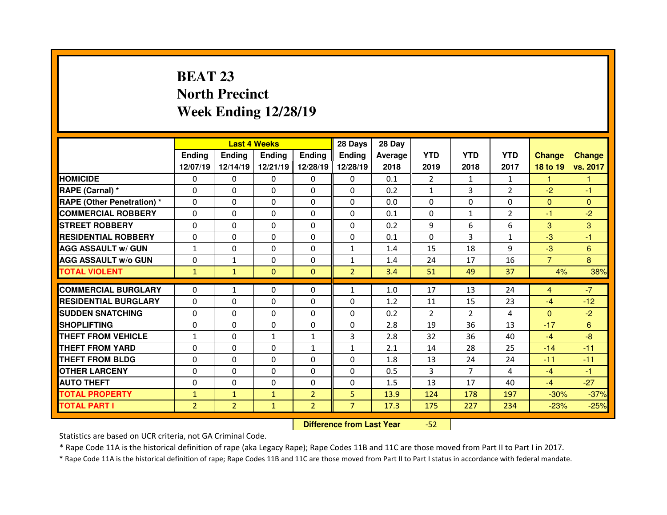# **BEAT 23 North PrecinctWeek Ending 12/28/19**

|                                  |                |                | <b>Last 4 Weeks</b> |                | 28 Days        | 28 Day  |              |                |                |                |               |
|----------------------------------|----------------|----------------|---------------------|----------------|----------------|---------|--------------|----------------|----------------|----------------|---------------|
|                                  | <b>Ending</b>  | <b>Ending</b>  | <b>Ending</b>       | <b>Ending</b>  | Ending         | Average | <b>YTD</b>   | <b>YTD</b>     | <b>YTD</b>     | <b>Change</b>  | <b>Change</b> |
|                                  | 12/07/19       | 12/14/19       | 12/21/19            | 12/28/19       | 12/28/19       | 2018    | 2019         | 2018           | 2017           | 18 to 19       | vs. 2017      |
| <b>HOMICIDE</b>                  | $\Omega$       | 0              | $\Omega$            | $\Omega$       | $\Omega$       | 0.1     | 2            | $\mathbf{1}$   | $\mathbf{1}$   | 1              | 1             |
| RAPE (Carnal) *                  | $\Omega$       | $\Omega$       | $\Omega$            | $\Omega$       | $\Omega$       | 0.2     | $\mathbf{1}$ | 3              | $\overline{2}$ | $-2$           | $-1$          |
| <b>RAPE (Other Penetration)*</b> | $\Omega$       | $\Omega$       | $\mathbf{0}$        | $\Omega$       | $\Omega$       | 0.0     | $\Omega$     | $\Omega$       | $\Omega$       | $\Omega$       | $\Omega$      |
| <b>COMMERCIAL ROBBERY</b>        | $\Omega$       | $\Omega$       | $\mathbf{0}$        | $\Omega$       | $\Omega$       | 0.1     | $\Omega$     | $\mathbf{1}$   | $\overline{2}$ | $-1$           | $-2$          |
| <b>STREET ROBBERY</b>            | $\Omega$       | $\Omega$       | $\Omega$            | $\Omega$       | 0              | 0.2     | 9            | 6              | 6              | 3              | 3             |
| <b>RESIDENTIAL ROBBERY</b>       | $\Omega$       | $\Omega$       | $\mathbf{0}$        | $\Omega$       | $\Omega$       | 0.1     | $\Omega$     | 3              | $\mathbf{1}$   | $-3$           | $-1$          |
| <b>AGG ASSAULT w/ GUN</b>        | $\mathbf{1}$   | 0              | $\Omega$            | $\Omega$       | $\mathbf{1}$   | 1.4     | 15           | 18             | 9              | $-3$           | 6             |
| <b>AGG ASSAULT w/o GUN</b>       | $\Omega$       | $\mathbf{1}$   | $\mathbf{0}$        | $\Omega$       | $\mathbf{1}$   | 1.4     | 24           | 17             | 16             | $\overline{7}$ | 8             |
| <b>TOTAL VIOLENT</b>             | $\mathbf{1}$   | $\mathbf{1}$   | $\mathbf{0}$        | $\Omega$       | $\overline{2}$ | 3.4     | 51           | 49             | 37             | 4%             | 38%           |
|                                  |                |                |                     |                |                |         |              |                |                |                |               |
| <b>COMMERCIAL BURGLARY</b>       | 0              | $\mathbf{1}$   | 0                   | $\Omega$       | $\mathbf{1}$   | 1.0     | 17           | 13             | 24             | 4              | $-7$          |
| <b>RESIDENTIAL BURGLARY</b>      | 0              | $\Omega$       | $\Omega$            | $\Omega$       | 0              | 1.2     | 11           | 15             | 23             | $-4$           | $-12$         |
| <b>SUDDEN SNATCHING</b>          | 0              | 0              | $\mathbf{0}$        | $\Omega$       | $\Omega$       | 0.2     | 2            | $\overline{2}$ | 4              | $\mathbf{0}$   | $-2$          |
| <b>SHOPLIFTING</b>               | 0              | 0              | 0                   | $\Omega$       | 0              | 2.8     | 19           | 36             | 13             | $-17$          | 6             |
| <b>THEFT FROM VEHICLE</b>        | $\mathbf{1}$   | 0              | $\mathbf{1}$        | $\mathbf{1}$   | 3              | 2.8     | 32           | 36             | 40             | $-4$           | $-8$          |
| <b>THEFT FROM YARD</b>           | 0              | 0              | $\Omega$            | $\mathbf{1}$   | $\mathbf{1}$   | 2.1     | 14           | 28             | 25             | $-14$          | $-11$         |
| <b>THEFT FROM BLDG</b>           | $\Omega$       | 0              | $\mathbf{0}$        | $\Omega$       | 0              | 1.8     | 13           | 24             | 24             | $-11$          | $-11$         |
| <b>OTHER LARCENY</b>             | 0              | 0              | $\Omega$            | $\Omega$       | $\Omega$       | 0.5     | 3            | $\overline{7}$ | 4              | $-4$           | $-1$          |
| <b>AUTO THEFT</b>                | 0              | 0              | $\mathbf{0}$        | $\Omega$       | 0              | 1.5     | 13           | 17             | 40             | $-4$           | $-27$         |
|                                  |                |                |                     |                |                | 13.9    | 124          | 178            | 197            |                |               |
| <b>TOTAL PROPERTY</b>            | $\mathbf{1}$   | $\mathbf{1}$   | $\mathbf{1}$        | $\overline{2}$ | 5              |         |              |                |                | $-30%$         | $-37%$        |
| <b>TOTAL PART I</b>              | $\overline{2}$ | $\overline{2}$ | $\mathbf{1}$        | $\overline{2}$ | $\overline{7}$ | 17.3    | 175          | 227            | 234            | $-23%$         | $-25%$        |

 **Difference from Last Year**-52

Statistics are based on UCR criteria, not GA Criminal Code.

\* Rape Code 11A is the historical definition of rape (aka Legacy Rape); Rape Codes 11B and 11C are those moved from Part II to Part I in 2017.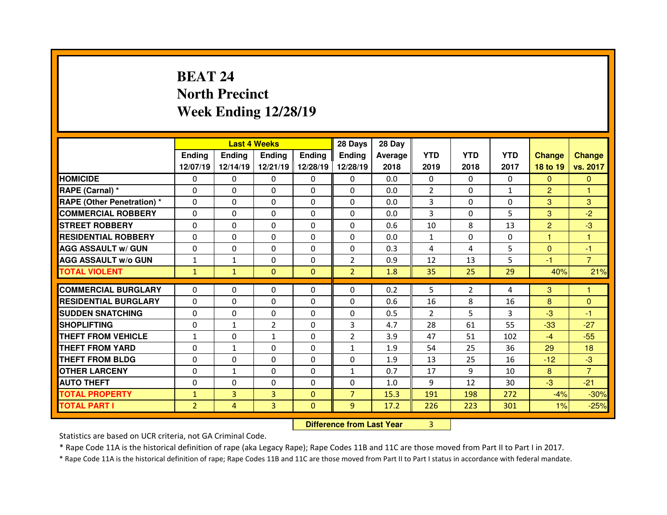# **BEAT 24 North PrecinctWeek Ending 12/28/19**

|                                  |                | <b>Last 4 Weeks</b> |                |               | 28 Days                          | 28 Day  |                |                |              |                |                |
|----------------------------------|----------------|---------------------|----------------|---------------|----------------------------------|---------|----------------|----------------|--------------|----------------|----------------|
|                                  | <b>Ending</b>  | <b>Ending</b>       | <b>Ending</b>  | <b>Ending</b> | <b>Ending</b>                    | Average | <b>YTD</b>     | <b>YTD</b>     | <b>YTD</b>   | <b>Change</b>  | <b>Change</b>  |
|                                  | 12/07/19       | 12/14/19            | 12/21/19       | 12/28/19      | 12/28/19                         | 2018    | 2019           | 2018           | 2017         | 18 to 19       | vs. 2017       |
| <b>HOMICIDE</b>                  | 0              | 0                   | 0              | $\Omega$      | $\Omega$                         | 0.0     | 0              | $\mathbf{0}$   | $\Omega$     | $\Omega$       | $\Omega$       |
| RAPE (Carnal) *                  | 0              | 0                   | $\Omega$       | $\Omega$      | $\Omega$                         | 0.0     | $\overline{2}$ | $\Omega$       | $\mathbf{1}$ | $\overline{2}$ | 1              |
| <b>RAPE (Other Penetration)*</b> | $\Omega$       | 0                   | 0              | 0             | $\Omega$                         | 0.0     | 3              | $\Omega$       | 0            | 3              | 3              |
| <b>COMMERCIAL ROBBERY</b>        | $\Omega$       | 0                   | $\Omega$       | $\Omega$      | $\Omega$                         | 0.0     | 3              | $\Omega$       | 5            | 3              | $\overline{2}$ |
| <b>STREET ROBBERY</b>            | $\Omega$       | 0                   | $\Omega$       | $\Omega$      | $\Omega$                         | 0.6     | 10             | 8              | 13           | $\overline{2}$ | $-3$           |
| <b>RESIDENTIAL ROBBERY</b>       | $\Omega$       | 0                   | 0              | $\Omega$      | $\Omega$                         | 0.0     | $\mathbf{1}$   | $\Omega$       | 0            | 1              | $\mathbf{1}$   |
| <b>AGG ASSAULT w/ GUN</b>        | $\Omega$       | 0                   | $\Omega$       | $\Omega$      | $\Omega$                         | 0.3     | $\overline{4}$ | 4              | 5            | $\overline{0}$ | $-1$           |
| <b>AGG ASSAULT w/o GUN</b>       | 1              | $\mathbf{1}$        | 0              | $\Omega$      | $\overline{2}$                   | 0.9     | 12             | 13             | 5            | $-1$           | $\overline{7}$ |
| <b>TOTAL VIOLENT</b>             | $\mathbf{1}$   | $\mathbf{1}$        | $\mathbf{0}$   | $\mathbf{0}$  | $\overline{2}$                   | 1.8     | 35             | 25             | 29           | 40%            | 21%            |
| <b>COMMERCIAL BURGLARY</b>       | $\Omega$       | 0                   | 0              | $\mathbf{0}$  | $\Omega$                         | 0.2     | 5              | $\overline{2}$ | 4            | 3              | 1              |
| <b>RESIDENTIAL BURGLARY</b>      | $\Omega$       | 0                   | 0              | $\mathbf{0}$  | $\Omega$                         | 0.6     | 16             | 8              | 16           | 8              | $\Omega$       |
| <b>SUDDEN SNATCHING</b>          | 0              | 0                   | 0              | 0             | 0                                | 0.5     | 2              | 5.             | 3            | $-3$           | -1             |
| <b>SHOPLIFTING</b>               | $\Omega$       | $\mathbf{1}$        | $\overline{2}$ | $\Omega$      | 3                                | 4.7     | 28             | 61             | 55           | $-33$          | $-27$          |
| <b>THEFT FROM VEHICLE</b>        | $\mathbf{1}$   | 0                   | $\mathbf{1}$   | 0             | $\overline{a}$                   | 3.9     | 47             | 51             | 102          | $-4$           | $-55$          |
| <b>THEFT FROM YARD</b>           | 0              | $\mathbf{1}$        | 0              | 0             | $\mathbf{1}$                     | 1.9     | 54             | 25             | 36           | 29             | 18             |
| <b>THEFT FROM BLDG</b>           | $\Omega$       | 0                   | 0              | $\Omega$      | $\Omega$                         | 1.9     | 13             | 25             | 16           | $-12$          | $-3$           |
| <b>OTHER LARCENY</b>             | 0              | $\mathbf{1}$        | 0              | 0             | $\mathbf{1}$                     | 0.7     | 17             | 9              | 10           | 8              | $\overline{7}$ |
| <b>AUTO THEFT</b>                | $\Omega$       | 0                   | $\Omega$       | $\Omega$      | $\Omega$                         | 1.0     | 9              | 12             | 30           | $-3$           | $-21$          |
| <b>TOTAL PROPERTY</b>            | $\mathbf{1}$   | 3                   | 3              | $\mathbf{0}$  | $\overline{7}$                   | 15.3    | 191            | 198            | 272          | $-4%$          | $-30%$         |
| <b>TOTAL PART I</b>              | $\overline{2}$ | 4                   | 3              | $\mathbf{0}$  | 9                                | 17.2    | 226            | 223            | 301          | 1%             | $-25%$         |
|                                  |                |                     |                |               | <b>Difference from Last Year</b> |         | 3              |                |              |                |                |

Statistics are based on UCR criteria, not GA Criminal Code.

\* Rape Code 11A is the historical definition of rape (aka Legacy Rape); Rape Codes 11B and 11C are those moved from Part II to Part I in 2017.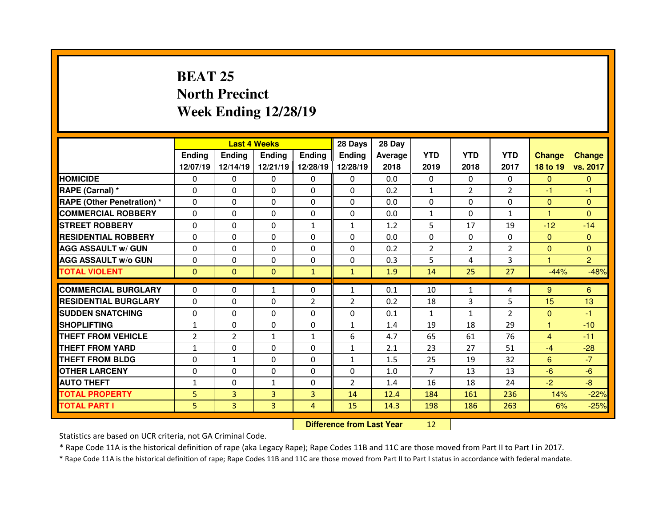# **BEAT 25 North PrecinctWeek Ending 12/28/19**

|                                   |                | <b>Last 4 Weeks</b>              |                |                |                | 28 Day  |                |                |                |                |                |
|-----------------------------------|----------------|----------------------------------|----------------|----------------|----------------|---------|----------------|----------------|----------------|----------------|----------------|
|                                   | Ending         | Ending                           | Ending         | <b>Ending</b>  | <b>Ending</b>  | Average | <b>YTD</b>     | <b>YTD</b>     | <b>YTD</b>     | <b>Change</b>  | <b>Change</b>  |
|                                   | 12/07/19       | 12/14/19                         | 12/21/19       | 12/28/19       | 12/28/19       | 2018    | 2019           | 2018           | 2017           | 18 to 19       | vs. 2017       |
| <b>HOMICIDE</b>                   | 0              | 0                                | 0              | $\Omega$       | 0              | 0.0     | 0              | $\Omega$       | $\Omega$       | $\Omega$       | $\Omega$       |
| RAPE (Carnal) *                   | $\Omega$       | 0                                | $\Omega$       | $\Omega$       | $\Omega$       | 0.2     | $\mathbf{1}$   | $\overline{2}$ | $\overline{2}$ | $-1$           | $-1$           |
| <b>RAPE (Other Penetration) *</b> | $\Omega$       | 0                                | $\Omega$       | $\Omega$       | $\Omega$       | 0.0     | $\Omega$       | $\Omega$       | 0              | $\mathbf{0}$   | $\Omega$       |
| <b>COMMERCIAL ROBBERY</b>         | 0              | 0                                | 0              | $\mathbf{0}$   | $\Omega$       | 0.0     | $\mathbf{1}$   | $\Omega$       | $\mathbf{1}$   | 1              | $\Omega$       |
| <b>STREET ROBBERY</b>             | $\Omega$       | 0                                | 0              | $\mathbf{1}$   | $\mathbf{1}$   | 1.2     | 5              | 17             | 19             | $-12$          | $-14$          |
| <b>RESIDENTIAL ROBBERY</b>        | $\Omega$       | 0                                | 0              | $\mathbf{0}$   | $\Omega$       | 0.0     | 0              | $\Omega$       | 0              | $\mathbf{0}$   | $\mathbf{0}$   |
| <b>AGG ASSAULT w/ GUN</b>         | $\Omega$       | 0                                | 0              | $\mathbf{0}$   | 0              | 0.2     | $\overline{2}$ | 2              | $\overline{2}$ | $\overline{0}$ | $\mathbf{0}$   |
| <b>AGG ASSAULT w/o GUN</b>        | $\Omega$       | 0                                | 0              | $\mathbf{0}$   | 0              | 0.3     | 5              | 4              | 3              | $\mathbf{1}$   | $\overline{2}$ |
| <b>TOTAL VIOLENT</b>              | $\mathbf{0}$   | $\overline{0}$                   | $\mathbf{0}$   | $\mathbf{1}$   | $\mathbf{1}$   | 1.9     | 14             | 25             | 27             | $-44%$         | $-48%$         |
| <b>COMMERCIAL BURGLARY</b>        | 0              | 0                                | $\mathbf{1}$   | $\mathbf{0}$   | $\mathbf{1}$   | 0.1     | 10             | $\mathbf{1}$   | 4              | 9              | 6              |
| <b>RESIDENTIAL BURGLARY</b>       | $\Omega$       | 0                                | 0              | $\overline{2}$ | $\overline{2}$ | 0.2     | 18             | 3              | 5              | 15             | 13             |
| <b>SUDDEN SNATCHING</b>           | 0              | 0                                | $\Omega$       | 0              | $\Omega$       | 0.1     | $\mathbf{1}$   | $\mathbf{1}$   | $\overline{2}$ | $\mathbf{0}$   | $-1$           |
| <b>SHOPLIFTING</b>                | 1              | 0                                | 0              | 0              | 1              | 1.4     | 19             | 18             | 29             | 1              | $-10$          |
| <b>THEFT FROM VEHICLE</b>         | $\overline{2}$ | $\overline{2}$                   | $\mathbf{1}$   | $\mathbf{1}$   | 6              | 4.7     | 65             | 61             | 76             | $\overline{4}$ | $-11$          |
| <b>THEFT FROM YARD</b>            | 1              | 0                                | 0              | 0              | 1              | 2.1     | 23             | 27             | 51             | $-4$           | $-28$          |
| <b>THEFT FROM BLDG</b>            | $\Omega$       | $\mathbf{1}$                     | $\Omega$       | 0              | $\mathbf{1}$   | 1.5     | 25             | 19             | 32             | 6              | $-7$           |
| <b>OTHER LARCENY</b>              | 0              | 0                                | 0              | $\mathbf{0}$   | 0              | 1.0     | $\overline{7}$ | 13             | 13             | $-6$           | $-6$           |
| <b>AUTO THEFT</b>                 | $\mathbf{1}$   | 0                                | $\mathbf{1}$   | 0              | $\overline{2}$ | 1.4     | 16             | 18             | 24             | $-2$           | $-8$           |
| <b>TOTAL PROPERTY</b>             | 5              | 3                                | 3              | 3              | 14             | 12.4    | 184            | 161            | 236            | 14%            | $-22%$         |
| <b>TOTAL PART I</b>               | 5.             | 3                                | $\overline{3}$ | 4              | 15             | 14.3    | 198            | 186            | 263            | 6%             | $-25%$         |
|                                   |                | <b>Difference from Last Year</b> |                | 12             |                |         |                |                |                |                |                |

Statistics are based on UCR criteria, not GA Criminal Code.

\* Rape Code 11A is the historical definition of rape (aka Legacy Rape); Rape Codes 11B and 11C are those moved from Part II to Part I in 2017.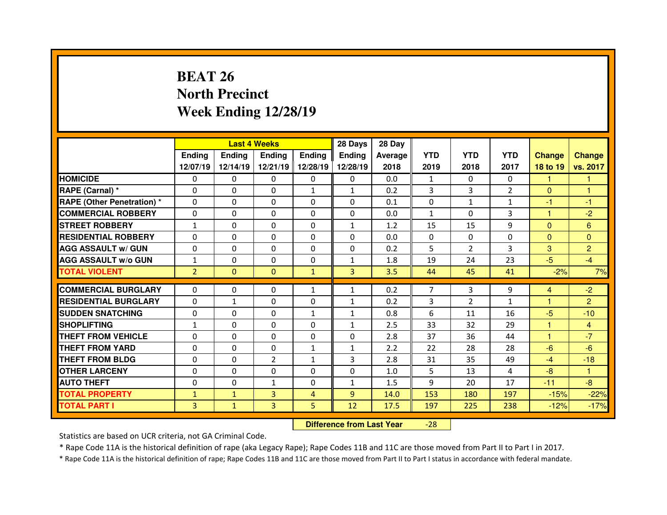# **BEAT 26 North PrecinctWeek Ending 12/28/19**

|                                  |                |               | <b>Last 4 Weeks</b> |                | 28 Days        | 28 Day  |                |                |                |               |                |
|----------------------------------|----------------|---------------|---------------------|----------------|----------------|---------|----------------|----------------|----------------|---------------|----------------|
|                                  | <b>Ending</b>  | <b>Ending</b> | <b>Ending</b>       | <b>Ending</b>  | Ending         | Average | <b>YTD</b>     | <b>YTD</b>     | <b>YTD</b>     | <b>Change</b> | <b>Change</b>  |
|                                  | 12/07/19       | 12/14/19      | 12/21/19            | 12/28/19       | 12/28/19       | 2018    | 2019           | 2018           | 2017           | 18 to 19      | vs. 2017       |
| <b>HOMICIDE</b>                  | $\Omega$       | 0             | $\Omega$            | $\Omega$       | $\Omega$       | 0.0     | 1              | $\Omega$       | $\Omega$       | 1             | 1              |
| RAPE (Carnal) *                  | $\Omega$       | $\Omega$      | $\Omega$            | $\mathbf{1}$   | $\mathbf{1}$   | 0.2     | 3              | 3              | $\overline{2}$ | $\mathbf{0}$  | 1              |
| <b>RAPE (Other Penetration)*</b> | $\Omega$       | $\Omega$      | $\mathbf{0}$        | $\Omega$       | $\Omega$       | 0.1     | $\Omega$       | $\mathbf{1}$   | $\mathbf{1}$   | $-1$          | $-1$           |
| <b>COMMERCIAL ROBBERY</b>        | $\Omega$       | $\Omega$      | $\mathbf{0}$        | $\Omega$       | $\Omega$       | 0.0     | $\mathbf{1}$   | $\Omega$       | 3              | 1             | $-2$           |
| <b>STREET ROBBERY</b>            | $\mathbf{1}$   | $\Omega$      | $\Omega$            | $\Omega$       | $\mathbf{1}$   | 1.2     | 15             | 15             | 9              | $\Omega$      | 6              |
| <b>RESIDENTIAL ROBBERY</b>       | $\Omega$       | $\Omega$      | $\mathbf{0}$        | $\Omega$       | $\Omega$       | 0.0     | $\Omega$       | $\Omega$       | $\Omega$       | $\Omega$      | $\Omega$       |
| <b>AGG ASSAULT w/ GUN</b>        | $\Omega$       | 0             | $\Omega$            | $\Omega$       | $\Omega$       | 0.2     | 5              | $\overline{2}$ | 3              | 3             | $\overline{2}$ |
| <b>AGG ASSAULT w/o GUN</b>       | $\mathbf{1}$   | $\Omega$      | $\mathbf{0}$        | $\Omega$       | $\mathbf{1}$   | 1.8     | 19             | 24             | 23             | $-5$          | $-4$           |
| <b>TOTAL VIOLENT</b>             | $\overline{2}$ | $\mathbf{0}$  | $\mathbf{0}$        | $\mathbf{1}$   | $\overline{3}$ | 3.5     | 44             | 45             | 41             | $-2%$         | 7%             |
|                                  |                |               |                     |                |                |         |                |                |                |               |                |
| <b>COMMERCIAL BURGLARY</b>       | 0              | 0             | 0                   | 1              | $\mathbf{1}$   | 0.2     | $\overline{7}$ | 3              | 9              | 4             | $-2$           |
| <b>RESIDENTIAL BURGLARY</b>      | 0              | $\mathbf{1}$  | $\Omega$            | $\Omega$       | $\mathbf{1}$   | 0.2     | 3              | $\overline{2}$ | $\mathbf{1}$   | н             | 2              |
|                                  |                |               |                     |                |                |         |                |                |                |               |                |
| <b>SUDDEN SNATCHING</b>          | 0              | 0             | $\mathbf{0}$        | 1              | $\mathbf{1}$   | 0.8     | 6              | 11             | 16             | $-5$          | $-10$          |
| <b>SHOPLIFTING</b>               | $\mathbf{1}$   | 0             | 0                   | $\Omega$       | $\mathbf{1}$   | 2.5     | 33             | 32             | 29             | 1             | $\overline{4}$ |
| <b>THEFT FROM VEHICLE</b>        | 0              | 0             | $\mathbf{0}$        | $\mathbf{0}$   | $\Omega$       | 2.8     | 37             | 36             | 44             | 1             | $-7$           |
| <b>THEFT FROM YARD</b>           | 0              | 0             | $\Omega$            | $\mathbf{1}$   | $\mathbf{1}$   | 2.2     | 22             | 28             | 28             | $-6$          | $-6$           |
| <b>THEFT FROM BLDG</b>           | $\Omega$       | 0             | $\overline{2}$      | 1              | 3              | 2.8     | 31             | 35             | 49             | $-4$          | $-18$          |
| <b>OTHER LARCENY</b>             | 0              | 0             | $\mathbf{0}$        | $\Omega$       | $\Omega$       | 1.0     | 5              | 13             | 4              | $-8$          | $\mathbf{1}$   |
| <b>AUTO THEFT</b>                | $\mathbf{0}$   | 0             | $\mathbf{1}$        | $\Omega$       | $\mathbf{1}$   | 1.5     | 9              | 20             | 17             | $-11$         | $-8$           |
| <b>TOTAL PROPERTY</b>            | $\mathbf{1}$   | $\mathbf{1}$  | 3                   | $\overline{4}$ | $\overline{9}$ | 14.0    | 153            | 180            | 197            | $-15%$        | $-22%$         |
| <b>TOTAL PART I</b>              | 3              | $\mathbf{1}$  | 3                   | 5              | 12             | 17.5    | 197            | 225            | 238            | $-12%$        | $-17%$         |

 **Difference from Last Year**-28

Statistics are based on UCR criteria, not GA Criminal Code.

\* Rape Code 11A is the historical definition of rape (aka Legacy Rape); Rape Codes 11B and 11C are those moved from Part II to Part I in 2017.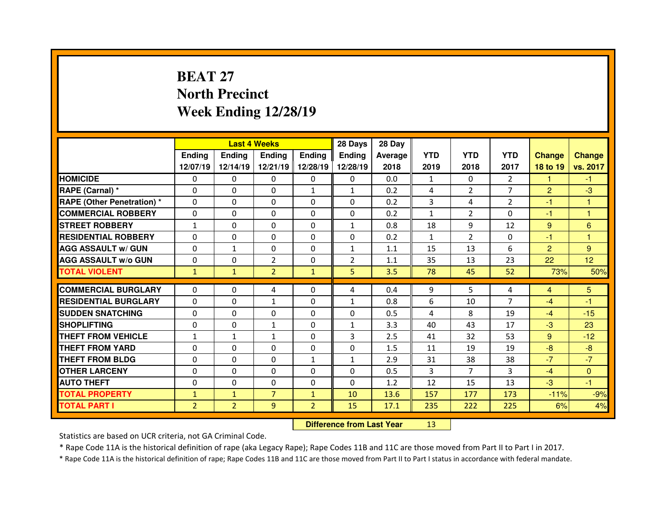# **BEAT 27 North PrecinctWeek Ending 12/28/19**

|                                   |                | <b>Last 4 Weeks</b>              |                |                |                | 28 Day  |                |                |                |                |                 |
|-----------------------------------|----------------|----------------------------------|----------------|----------------|----------------|---------|----------------|----------------|----------------|----------------|-----------------|
|                                   | <b>Ending</b>  | <b>Ending</b>                    | <b>Ending</b>  | <b>Ending</b>  | Ending         | Average | <b>YTD</b>     | <b>YTD</b>     | <b>YTD</b>     | <b>Change</b>  | <b>Change</b>   |
|                                   | 12/07/19       | 12/14/19                         | 12/21/19       | 12/28/19       | 12/28/19       | 2018    | 2019           | 2018           | 2017           | 18 to 19       | vs. 2017        |
| <b>HOMICIDE</b>                   | $\Omega$       | 0                                | 0              | $\mathbf{0}$   | 0              | 0.0     | 1              | $\Omega$       | $\overline{2}$ | 1              | $-1$            |
| RAPE (Carnal) *                   | 0              | 0                                | 0              | $\mathbf{1}$   | $\mathbf{1}$   | 0.2     | 4              | $\overline{2}$ | $\overline{7}$ | $\overline{2}$ | $-3$            |
| <b>RAPE (Other Penetration) *</b> | 0              | 0                                | 0              | 0              | 0              | 0.2     | $\overline{3}$ | 4              | $\overline{2}$ | $-1$           | 1               |
| <b>COMMERCIAL ROBBERY</b>         | 0              | 0                                | $\Omega$       | $\Omega$       | $\Omega$       | 0.2     | $\mathbf{1}$   | $\overline{2}$ | $\Omega$       | $-1$           | 1               |
| <b>STREET ROBBERY</b>             | $\mathbf{1}$   | 0                                | $\Omega$       | $\Omega$       | $\mathbf{1}$   | 0.8     | 18             | 9              | 12             | 9              | 6               |
| <b>RESIDENTIAL ROBBERY</b>        | $\Omega$       | $\Omega$                         | $\mathbf{0}$   | $\Omega$       | $\Omega$       | 0.2     | $\mathbf{1}$   | $\overline{2}$ | $\Omega$       | -1             | 1               |
| <b>AGG ASSAULT w/ GUN</b>         | $\Omega$       | $\mathbf{1}$                     | $\Omega$       | $\Omega$       | $\mathbf{1}$   | 1.1     | 15             | 13             | 6              | $\overline{2}$ | 9               |
| <b>AGG ASSAULT w/o GUN</b>        | 0              | 0                                | $\overline{2}$ | 0              | $\overline{2}$ | 1.1     | 35             | 13             | 23             | 22             | 12 <sub>2</sub> |
| <b>TOTAL VIOLENT</b>              | $\mathbf{1}$   | $\mathbf{1}$                     | $\overline{2}$ | $\mathbf{1}$   | 5              | 3.5     | 78             | 45             | 52             | 73%            | 50%             |
| <b>COMMERCIAL BURGLARY</b>        | $\Omega$       | 0                                | 4              | $\Omega$       | 4              | 0.4     | 9              | 5              | 4              | $\overline{4}$ | 5               |
| <b>RESIDENTIAL BURGLARY</b>       | $\Omega$       | 0                                | $\mathbf{1}$   | $\Omega$       | $\mathbf{1}$   | 0.8     | 6              | 10             | $\overline{7}$ | $-4$           | $-1$            |
| <b>SUDDEN SNATCHING</b>           | 0              | 0                                | 0              | $\Omega$       | 0              | 0.5     | 4              | 8              | 19             | $-4$           | $-15$           |
| <b>SHOPLIFTING</b>                | 0              | 0                                | $\mathbf{1}$   | $\Omega$       | 1              | 3.3     | 40             | 43             | 17             | $-3$           | 23              |
| <b>THEFT FROM VEHICLE</b>         | $\mathbf{1}$   | $\mathbf{1}$                     | $\mathbf{1}$   | 0              | 3              | 2.5     | 41             | 32             | 53             | 9              | $-12$           |
| <b>THEFT FROM YARD</b>            | 0              | 0                                | $\Omega$       | 0              | $\Omega$       | 1.5     | 11             | 19             | 19             | $-8$           | $-8$            |
| <b>THEFT FROM BLDG</b>            | 0              | 0                                | 0              | $\mathbf{1}$   | $\mathbf{1}$   | 2.9     | 31             | 38             | 38             | $-7$           | $-7$            |
| <b>OTHER LARCENY</b>              | 0              | 0                                | 0              | $\Omega$       | $\Omega$       | 0.5     | 3              | $\overline{7}$ | 3              | $-4$           | $\mathbf{0}$    |
| <b>AUTO THEFT</b>                 | $\Omega$       | 0                                | $\Omega$       | 0              | $\Omega$       | 1.2     | 12             | 15             | 13             | $-3$           | $-1$            |
| <b>TOTAL PROPERTY</b>             | $\mathbf{1}$   | $\mathbf{1}$                     | $\overline{7}$ | $\mathbf{1}$   | 10             | 13.6    | 157            | 177            | 173            | $-11%$         | $-9%$           |
| <b>TOTAL PART I</b>               | $\overline{2}$ | $\overline{2}$                   | 9              | $\overline{2}$ | 15             | 17.1    | 235            | 222            | 225            | 6%             | 4%              |
|                                   |                | <b>Difference from Last Year</b> |                | 13             |                |         |                |                |                |                |                 |

Statistics are based on UCR criteria, not GA Criminal Code.

\* Rape Code 11A is the historical definition of rape (aka Legacy Rape); Rape Codes 11B and 11C are those moved from Part II to Part I in 2017.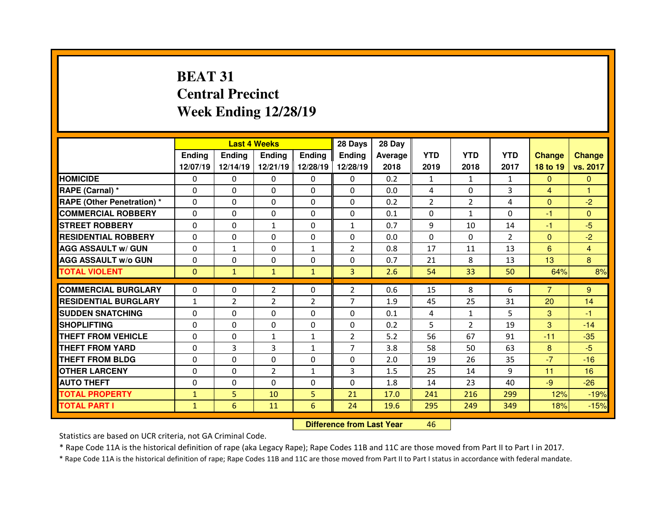# **BEAT 31 Central PrecinctWeek Ending 12/28/19**

|                                  |              |               | <b>Last 4 Weeks</b> |               | 28 Days        | 28 Day  |              |                |                |                |               |
|----------------------------------|--------------|---------------|---------------------|---------------|----------------|---------|--------------|----------------|----------------|----------------|---------------|
|                                  | Ending       | <b>Ending</b> | <b>Endina</b>       | <b>Endina</b> | <b>Ending</b>  | Average | <b>YTD</b>   | <b>YTD</b>     | <b>YTD</b>     | <b>Change</b>  | <b>Change</b> |
|                                  | 12/07/19     | 12/14/19      | 12/21/19            | 12/28/19      | 12/28/19       | 2018    | 2019         | 2018           | 2017           | 18 to 19       | vs. 2017      |
| <b>HOMICIDE</b>                  | $\Omega$     | 0             | $\Omega$            | $\Omega$      | $\Omega$       | 0.2     | $\mathbf{1}$ | $\mathbf{1}$   | $\mathbf{1}$   | $\Omega$       | $\Omega$      |
| RAPE (Carnal) *                  | $\Omega$     | 0             | $\Omega$            | $\Omega$      | $\Omega$       | 0.0     | 4            | $\Omega$       | 3              | $\overline{4}$ | 1             |
| <b>RAPE (Other Penetration)*</b> | $\Omega$     | 0             | $\Omega$            | $\mathbf{0}$  | $\Omega$       | 0.2     | 2            | $\overline{2}$ | 4              | $\Omega$       | $-2$          |
| <b>COMMERCIAL ROBBERY</b>        | $\Omega$     | 0             | $\Omega$            | $\Omega$      | $\Omega$       | 0.1     | $\Omega$     | $\mathbf{1}$   | $\Omega$       | -1             | $\Omega$      |
| <b>STREET ROBBERY</b>            | $\Omega$     | 0             | $\mathbf{1}$        | $\mathbf{0}$  | $\mathbf{1}$   | 0.7     | 9            | 10             | 14             | $-1$           | $-5$          |
| <b>RESIDENTIAL ROBBERY</b>       | $\Omega$     | 0             | $\Omega$            | $\mathbf{0}$  | $\Omega$       | 0.0     | $\Omega$     | $\Omega$       | $\overline{2}$ | $\mathbf{0}$   | $-2$          |
| <b>AGG ASSAULT w/ GUN</b>        | $\Omega$     | $\mathbf{1}$  | $\Omega$            | $\mathbf{1}$  | $\overline{2}$ | 0.8     | 17           | 11             | 13             | 6              | 4             |
| <b>AGG ASSAULT w/o GUN</b>       | $\Omega$     | 0             | $\Omega$            | $\mathbf{0}$  | $\Omega$       | 0.7     | 21           | 8              | 13             | 13             | 8             |
| <b>TOTAL VIOLENT</b>             | $\Omega$     | $\mathbf{1}$  | $\mathbf{1}$        | $\mathbf{1}$  | $\overline{3}$ | 2.6     | 54           | 33             | 50             | 64%            | 8%            |
| <b>COMMERCIAL BURGLARY</b>       | $\Omega$     |               |                     |               |                | 0.6     |              | 8              |                | $\overline{7}$ |               |
|                                  |              | 0             | $\overline{2}$      | $\mathbf{0}$  | $\overline{2}$ |         | 15           |                | 6              |                | 9             |
| <b>RESIDENTIAL BURGLARY</b>      | $\mathbf{1}$ | 2             | $\overline{2}$      | 2             | $\overline{7}$ | 1.9     | 45           | 25             | 31             | 20             | 14            |
| <b>SUDDEN SNATCHING</b>          | $\Omega$     | 0             | 0                   | $\Omega$      | $\Omega$       | 0.1     | 4            | 1              | 5.             | 3              | $-1$          |
| <b>SHOPLIFTING</b>               | $\Omega$     | 0             | 0                   | $\Omega$      | $\Omega$       | 0.2     | 5            | $\mathcal{P}$  | 19             | 3              | $-14$         |
| THEFT FROM VEHICLE               | 0            | 0             | $\mathbf{1}$        | $\mathbf{1}$  | $\overline{2}$ | 5.2     | 56           | 67             | 91             | $-11$          | $-35$         |
| <b>THEFT FROM YARD</b>           | $\Omega$     | 3             | 3                   | $\mathbf{1}$  | $\overline{7}$ | 3.8     | 58           | 50             | 63             | 8              | $-5$          |
|                                  |              |               |                     |               |                |         |              |                |                |                |               |
| <b>THEFT FROM BLDG</b>           | 0            | 0             | $\Omega$            | $\mathbf{0}$  | $\Omega$       | 2.0     | 19           | 26             | 35             | $-7$           | $-16$         |
| <b>OTHER LARCENY</b>             | $\Omega$     | 0             | $\overline{2}$      | 1             | 3              | 1.5     | 25           | 14             | 9              | 11             | 16            |
| <b>AUTO THEFT</b>                | $\Omega$     | 0             | 0                   | $\mathbf{0}$  | $\Omega$       | 1.8     | 14           | 23             | 40             | $-9$           | $-26$         |
| <b>TOTAL PROPERTY</b>            | $\mathbf{1}$ | 5             | 10                  | 5             | 21             | 17.0    | 241          | 216            | 299            | 12%            | $-19%$        |
| <b>TOTAL PART I</b>              | $\mathbf{1}$ | 6             | 11                  | 6             | 24             | 19.6    | 295          | 249            | 349            | 18%            | $-15%$        |

 **Difference from Last Year**<sup>46</sup>

Statistics are based on UCR criteria, not GA Criminal Code.

\* Rape Code 11A is the historical definition of rape (aka Legacy Rape); Rape Codes 11B and 11C are those moved from Part II to Part I in 2017.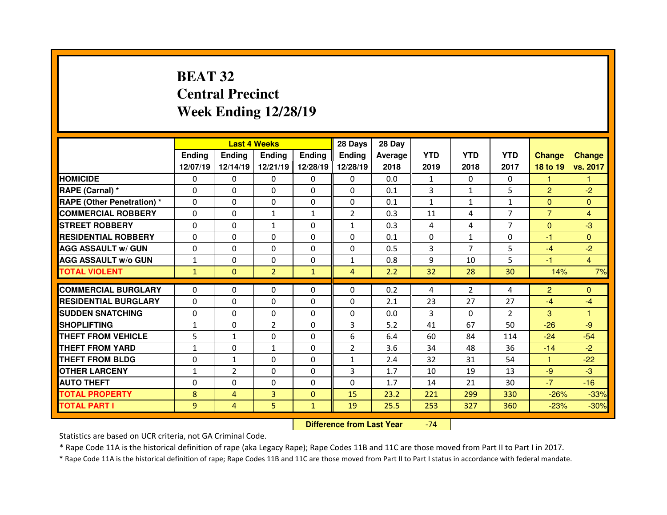# **BEAT 32 Central PrecinctWeek Ending 12/28/19**

|                                  |               |                | <b>Last 4 Weeks</b> |               | 28 Days        | 28 Day  |              |                |                |                |                |
|----------------------------------|---------------|----------------|---------------------|---------------|----------------|---------|--------------|----------------|----------------|----------------|----------------|
|                                  | <b>Ending</b> | <b>Ending</b>  | <b>Ending</b>       | <b>Ending</b> | Ending         | Average | <b>YTD</b>   | <b>YTD</b>     | <b>YTD</b>     | <b>Change</b>  | <b>Change</b>  |
|                                  | 12/07/19      | 12/14/19       | 12/21/19            | 12/28/19      | 12/28/19       | 2018    | 2019         | 2018           | 2017           | 18 to 19       | vs. 2017       |
| <b>HOMICIDE</b>                  | $\Omega$      | 0              | $\Omega$            | $\Omega$      | $\Omega$       | 0.0     | $\mathbf{1}$ | $\Omega$       | $\Omega$       | 1              | 1              |
| RAPE (Carnal) *                  | $\Omega$      | $\Omega$       | $\Omega$            | $\Omega$      | $\Omega$       | 0.1     | 3            | $\mathbf{1}$   | 5              | $\overline{2}$ | $-2$           |
| <b>RAPE (Other Penetration)*</b> | $\Omega$      | $\Omega$       | $\mathbf{0}$        | $\Omega$      | $\Omega$       | 0.1     | $\mathbf{1}$ | $\mathbf{1}$   | $\mathbf{1}$   | $\Omega$       | $\Omega$       |
| <b>COMMERCIAL ROBBERY</b>        | $\Omega$      | $\Omega$       | $\mathbf{1}$        | $\mathbf{1}$  | $\overline{2}$ | 0.3     | 11           | 4              | $\overline{7}$ | $\overline{7}$ | $\overline{4}$ |
| <b>STREET ROBBERY</b>            | $\Omega$      | $\Omega$       | $\mathbf{1}$        | $\Omega$      | $\mathbf{1}$   | 0.3     | 4            | 4              | $\overline{7}$ | $\Omega$       | $-3$           |
| <b>RESIDENTIAL ROBBERY</b>       | $\Omega$      | $\Omega$       | $\Omega$            | $\Omega$      | $\Omega$       | 0.1     | $\Omega$     | $\mathbf{1}$   | $\Omega$       | -1             | $\Omega$       |
| <b>AGG ASSAULT w/ GUN</b>        | $\Omega$      | 0              | $\Omega$            | $\Omega$      | $\Omega$       | 0.5     | 3            | $\overline{7}$ | 5              | $-4$           | $-2$           |
| <b>AGG ASSAULT w/o GUN</b>       | $\mathbf{1}$  | $\Omega$       | $\Omega$            | $\Omega$      | $\mathbf{1}$   | 0.8     | 9            | 10             | 5              | $-1$           | $\overline{4}$ |
| <b>TOTAL VIOLENT</b>             | $\mathbf{1}$  | $\mathbf{0}$   | $\overline{2}$      | $\mathbf{1}$  | $\overline{4}$ | 2.2     | 32           | 28             | 30             | 14%            | 7%             |
| <b>COMMERCIAL BURGLARY</b>       | 0             |                |                     |               |                |         |              |                |                |                |                |
|                                  |               | 0              | 0                   | $\Omega$      | 0              | 0.2     | 4            | $\overline{2}$ | 4              | $\overline{2}$ | $\mathbf{0}$   |
| <b>RESIDENTIAL BURGLARY</b>      | 0             | $\Omega$       | $\Omega$            | $\Omega$      | 0              | 2.1     | 23           | 27             | 27             | $-4$           | $-4$           |
| <b>SUDDEN SNATCHING</b>          | 0             | 0              | 0                   | $\Omega$      | 0              | 0.0     | 3            | $\Omega$       | $\overline{2}$ | 3              | 1              |
| <b>SHOPLIFTING</b>               | $\mathbf{1}$  | 0              | $\overline{2}$      | $\Omega$      | 3              | 5.2     | 41           | 67             | 50             | $-26$          | $-9$           |
| <b>THEFT FROM VEHICLE</b>        | 5             | $\mathbf{1}$   | $\mathbf{0}$        | $\mathbf{0}$  | 6              | 6.4     | 60           | 84             | 114            | $-24$          | $-54$          |
| <b>THEFT FROM YARD</b>           | $\mathbf{1}$  | 0              | $\mathbf{1}$        | $\Omega$      | $\overline{2}$ | 3.6     | 34           | 48             | 36             | $-14$          | $-2$           |
|                                  |               |                |                     |               |                |         |              |                |                |                |                |
| <b>THEFT FROM BLDG</b>           | $\mathbf{0}$  | $\mathbf{1}$   | $\mathbf{0}$        | $\Omega$      | $\mathbf{1}$   | 2.4     | 32           | 31             | 54             | 1.             | $-22$          |
| <b>OTHER LARCENY</b>             | $\mathbf{1}$  | $\overline{2}$ | $\Omega$            | $\Omega$      | 3              | 1.7     | 10           | 19             | 13             | $-9$           | $-3$           |
| <b>AUTO THEFT</b>                | 0             | 0              | $\mathbf{0}$        | $\mathbf{0}$  | 0              | 1.7     | 14           | 21             | 30             | $-7$           | $-16$          |
| <b>TOTAL PROPERTY</b>            | 8             | $\overline{4}$ | 3                   | $\Omega$      | 15             | 23.2    | 221          | 299            | 330            | $-26%$         | $-33%$         |
| <b>TOTAL PART I</b>              | 9             | $\overline{4}$ | 5                   | $\mathbf{1}$  | 19             | 25.5    | 253          | 327            | 360            | $-23%$         | $-30%$         |

 **Difference from Last Year**-74

Statistics are based on UCR criteria, not GA Criminal Code.

\* Rape Code 11A is the historical definition of rape (aka Legacy Rape); Rape Codes 11B and 11C are those moved from Part II to Part I in 2017.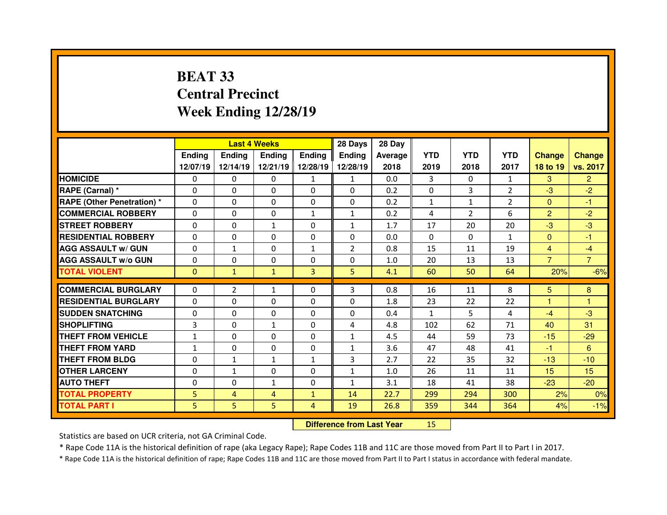# **BEAT 33 Central PrecinctWeek Ending 12/28/19**

|                                   |              |                                  | <b>Last 4 Weeks</b> |                | 28 Days        | 28 Day  |              |                |                |                |                |
|-----------------------------------|--------------|----------------------------------|---------------------|----------------|----------------|---------|--------------|----------------|----------------|----------------|----------------|
|                                   | Ending       | <b>Ending</b>                    | <b>Ending</b>       | <b>Ending</b>  | <b>Ending</b>  | Average | <b>YTD</b>   | <b>YTD</b>     | <b>YTD</b>     | <b>Change</b>  | <b>Change</b>  |
|                                   | 12/07/19     | 12/14/19                         | 12/21/19            | 12/28/19       | 12/28/19       | 2018    | 2019         | 2018           | 2017           | 18 to 19       | vs. 2017       |
| <b>HOMICIDE</b>                   | 0            | 0                                | 0                   | $\mathbf{1}$   | $\mathbf{1}$   | 0.0     | 3            | $\Omega$       | $\mathbf{1}$   | 3              | $\overline{2}$ |
| RAPE (Carnal) *                   | 0            | 0                                | 0                   | $\mathbf{0}$   | $\Omega$       | 0.2     | $\Omega$     | 3              | $\overline{2}$ | $-3$           | $-2$           |
| <b>RAPE (Other Penetration) *</b> | 0            | 0                                | 0                   | 0              | 0              | 0.2     | $\mathbf{1}$ | $\mathbf{1}$   | $\overline{2}$ | $\overline{0}$ | $-1$           |
| <b>COMMERCIAL ROBBERY</b>         | $\Omega$     | 0                                | $\Omega$            | $\mathbf{1}$   | $\mathbf{1}$   | 0.2     | 4            | $\overline{2}$ | 6              | $\overline{2}$ | $-2$           |
| <b>STREET ROBBERY</b>             | $\Omega$     | 0                                | $\mathbf{1}$        | $\Omega$       | 1              | 1.7     | 17           | 20             | 20             | $-3$           | $-3$           |
| <b>RESIDENTIAL ROBBERY</b>        | $\Omega$     | 0                                | $\Omega$            | $\Omega$       | $\Omega$       | 0.0     | $\Omega$     | $\Omega$       | 1              | $\mathbf{0}$   | $-1$           |
| <b>AGG ASSAULT w/ GUN</b>         | 0            | $\mathbf{1}$                     | 0                   | $\mathbf{1}$   | $\overline{2}$ | 0.8     | 15           | 11             | 19             | $\overline{4}$ | $-4$           |
| <b>AGG ASSAULT w/o GUN</b>        | $\Omega$     | 0                                | 0                   | $\Omega$       | 0              | 1.0     | 20           | 13             | 13             | $\overline{7}$ | $\overline{7}$ |
| <b>TOTAL VIOLENT</b>              | $\Omega$     | $\mathbf{1}$                     | $\mathbf{1}$        | 3              | 5              | 4.1     | 60           | 50             | 64             | 20%            | $-6%$          |
| <b>COMMERCIAL BURGLARY</b>        | $\Omega$     | $\overline{2}$                   | $\mathbf{1}$        | $\Omega$       | 3              | 0.8     | 16           | 11             | 8              | 5 <sup>5</sup> | 8              |
| <b>RESIDENTIAL BURGLARY</b>       | 0            | 0                                | 0                   | $\mathbf{0}$   | $\Omega$       | 1.8     | 23           | 22             | 22             | 1              | 1              |
| <b>SUDDEN SNATCHING</b>           | $\Omega$     | 0                                | 0                   | $\Omega$       | $\Omega$       | 0.4     | $\mathbf{1}$ | 5.             | 4              | $-4$           | $-3$           |
| <b>SHOPLIFTING</b>                | 3            | 0                                | $\mathbf{1}$        | $\Omega$       | $\overline{4}$ | 4.8     | 102          | 62             | 71             | 40             | 31             |
| <b>THEFT FROM VEHICLE</b>         | $\mathbf{1}$ | 0                                | 0                   | 0              | $\mathbf{1}$   | 4.5     | 44           | 59             | 73             | $-15$          | $-29$          |
| <b>THEFT FROM YARD</b>            | $\mathbf{1}$ | 0                                | 0                   | 0              | $\mathbf{1}$   | 3.6     | 47           | 48             | 41             | $-1$           | 6              |
| <b>THEFT FROM BLDG</b>            | 0            | $\mathbf{1}$                     | $\mathbf{1}$        | $\mathbf{1}$   | 3              | 2.7     | 22           | 35             | 32             | $-13$          | $-10$          |
| <b>OTHER LARCENY</b>              | 0            | $\mathbf{1}$                     | 0                   | 0              | $\mathbf{1}$   | 1.0     | 26           | 11             | 11             | 15             | 15             |
| <b>AUTO THEFT</b>                 | 0            | 0                                | $\mathbf{1}$        | $\Omega$       | $\mathbf{1}$   | 3.1     | 18           | 41             | 38             | $-23$          | $-20$          |
| <b>TOTAL PROPERTY</b>             | 5            | 4                                | $\overline{4}$      | $\mathbf{1}$   | 14             | 22.7    | 299          | 294            | 300            | 2%             | 0%             |
| <b>TOTAL PART I</b>               | 5            | 5                                | 5                   | $\overline{4}$ | 19             | 26.8    | 359          | 344            | 364            | 4%             | $-1%$          |
|                                   |              | <b>Difference from Last Year</b> |                     | 15             |                |         |              |                |                |                |                |

Statistics are based on UCR criteria, not GA Criminal Code.

\* Rape Code 11A is the historical definition of rape (aka Legacy Rape); Rape Codes 11B and 11C are those moved from Part II to Part I in 2017.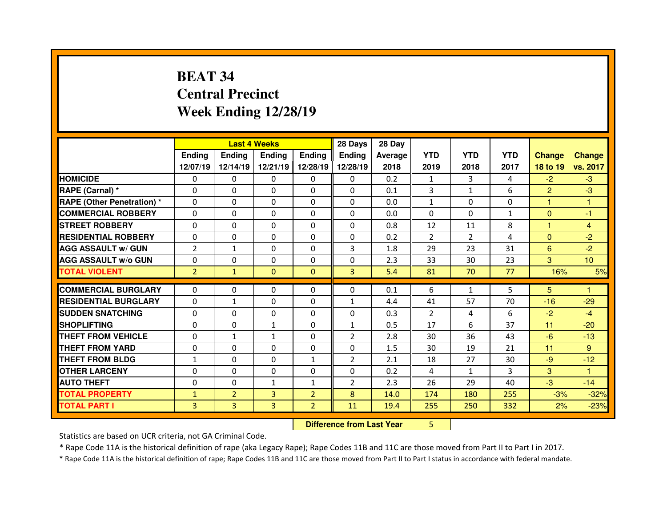# **BEAT 34 Central PrecinctWeek Ending 12/28/19**

|                                   |                |                                  | <b>Last 4 Weeks</b> |                | 28 Days        | 28 Day  |                |                |              |                |                 |
|-----------------------------------|----------------|----------------------------------|---------------------|----------------|----------------|---------|----------------|----------------|--------------|----------------|-----------------|
|                                   | Ending         | <b>Ending</b>                    | <b>Ending</b>       | <b>Ending</b>  | <b>Ending</b>  | Average | <b>YTD</b>     | <b>YTD</b>     | <b>YTD</b>   | <b>Change</b>  | <b>Change</b>   |
|                                   | 12/07/19       | 12/14/19                         | 12/21/19            | 12/28/19       | 12/28/19       | 2018    | 2019           | 2018           | 2017         | 18 to 19       | vs. 2017        |
| <b>HOMICIDE</b>                   | 0              | 0                                | 0                   | $\mathbf{0}$   | 0              | 0.2     | 1              | 3              | 4            | $-2$           | $-3$            |
| RAPE (Carnal) *                   | 0              | 0                                | 0                   | $\Omega$       | $\Omega$       | 0.1     | 3              | $\mathbf{1}$   | 6            | $\overline{2}$ | $-3$            |
| <b>RAPE (Other Penetration) *</b> | $\Omega$       | 0                                | 0                   | $\Omega$       | 0              | 0.0     | $\mathbf{1}$   | $\Omega$       | 0            | н              | 1               |
| <b>COMMERCIAL ROBBERY</b>         | $\Omega$       | 0                                | $\Omega$            | $\Omega$       | $\Omega$       | 0.0     | $\Omega$       | $\Omega$       | $\mathbf{1}$ | $\mathbf{0}$   | $-1$            |
| <b>STREET ROBBERY</b>             | $\Omega$       | 0                                | $\Omega$            | $\Omega$       | $\Omega$       | 0.8     | 12             | 11             | 8            | н              | $\overline{4}$  |
| <b>RESIDENTIAL ROBBERY</b>        | $\Omega$       | 0                                | $\Omega$            | $\Omega$       | $\Omega$       | 0.2     | $\overline{2}$ | $\overline{2}$ | 4            | $\Omega$       | $-2$            |
| <b>AGG ASSAULT w/ GUN</b>         | $\overline{2}$ | $\mathbf{1}$                     | 0                   | $\mathbf{0}$   | 3              | 1.8     | 29             | 23             | 31           | 6              | $-2$            |
| <b>AGG ASSAULT w/o GUN</b>        | $\Omega$       | 0                                | 0                   | $\Omega$       | 0              | 2.3     | 33             | 30             | 23           | 3              | 10 <sup>°</sup> |
| <b>TOTAL VIOLENT</b>              | $\overline{2}$ | $\mathbf{1}$                     | $\mathbf{0}$        | $\mathbf{0}$   | 3              | 5.4     | 81             | 70             | 77           | 16%            | 5%              |
| <b>COMMERCIAL BURGLARY</b>        | $\Omega$       | 0                                | 0                   | $\Omega$       | $\Omega$       | 0.1     | 6              | $\mathbf{1}$   | 5            | 5              | 1               |
| <b>RESIDENTIAL BURGLARY</b>       | 0              | $\mathbf{1}$                     | 0                   | $\mathbf{0}$   | $\mathbf{1}$   | 4.4     | 41             | 57             | 70           | $-16$          | $-29$           |
| <b>SUDDEN SNATCHING</b>           | $\Omega$       | 0                                | 0                   | $\Omega$       | $\Omega$       | 0.3     | 2              | 4              | 6            | $-2$           | $-4$            |
| <b>SHOPLIFTING</b>                | $\Omega$       | 0                                | $\mathbf{1}$        | $\Omega$       | $\mathbf{1}$   | 0.5     | 17             | 6              | 37           | 11             | $-20$           |
| <b>THEFT FROM VEHICLE</b>         | 0              | $\mathbf{1}$                     | $\mathbf{1}$        | 0              | $\overline{2}$ | 2.8     | 30             | 36             | 43           | $-6$           | $-13$           |
| <b>THEFT FROM YARD</b>            | 0              | 0                                | 0                   | 0              | 0              | 1.5     | 30             | 19             | 21           | 11             | 9               |
| <b>THEFT FROM BLDG</b>            | $\mathbf{1}$   | 0                                | 0                   | $\mathbf{1}$   | $\overline{2}$ | 2.1     | 18             | 27             | 30           | $-9$           | $-12$           |
| <b>OTHER LARCENY</b>              | 0              | 0                                | 0                   | $\Omega$       | $\Omega$       | 0.2     | 4              | $\mathbf{1}$   | 3            | 3              | 1               |
| <b>AUTO THEFT</b>                 | 0              | 0                                | $\mathbf{1}$        | $\mathbf{1}$   | $\overline{2}$ | 2.3     | 26             | 29             | 40           | $-3$           | $-14$           |
| <b>TOTAL PROPERTY</b>             | $\mathbf{1}$   | $\overline{2}$                   | 3                   | $\overline{2}$ | 8              | 14.0    | 174            | 180            | 255          | $-3%$          | $-32%$          |
| <b>TOTAL PART I</b>               | 3              | 3                                | 3                   | $\overline{2}$ | 11             | 19.4    | 255            | 250            | 332          | 2%             | $-23%$          |
|                                   |                | <b>Difference from Last Year</b> |                     | 5              |                |         |                |                |              |                |                 |

Statistics are based on UCR criteria, not GA Criminal Code.

\* Rape Code 11A is the historical definition of rape (aka Legacy Rape); Rape Codes 11B and 11C are those moved from Part II to Part I in 2017.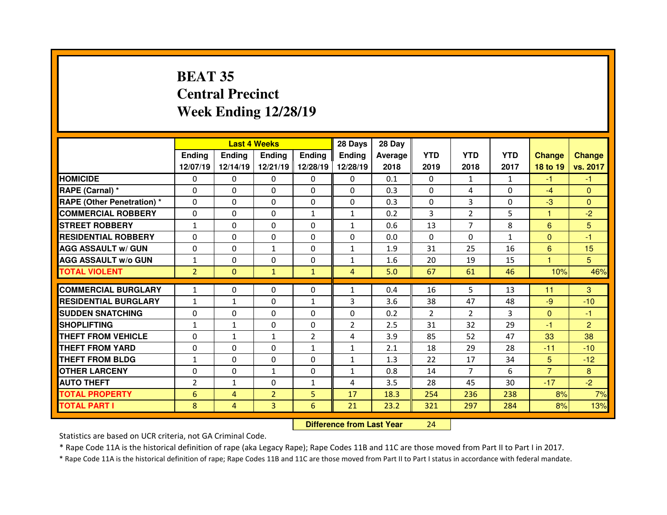# **BEAT 35 Central PrecinctWeek Ending 12/28/19**

|                                  |                |                                  | <b>Last 4 Weeks</b> |                   | 28 Days        | 28 Day  |            |                |              |                |                |
|----------------------------------|----------------|----------------------------------|---------------------|-------------------|----------------|---------|------------|----------------|--------------|----------------|----------------|
|                                  | <b>Ending</b>  | Ending                           | Ending              | <b>Ending</b>     | Ending         | Average | <b>YTD</b> | <b>YTD</b>     | <b>YTD</b>   | <b>Change</b>  | <b>Change</b>  |
|                                  | 12/07/19       | 12/14/19                         |                     | 12/21/19 12/28/19 | 12/28/19       | 2018    | 2019       | 2018           | 2017         | 18 to 19       | vs. 2017       |
| <b>HOMICIDE</b>                  | 0              | 0                                | 0                   | $\Omega$          | 0              | 0.1     | 0          | 1              | $\mathbf{1}$ | $-1$           | $-1$           |
| <b>RAPE (Carnal) *</b>           | $\Omega$       | 0                                | $\mathbf{0}$        | $\Omega$          | $\Omega$       | 0.3     | $\Omega$   | 4              | $\Omega$     | $-4$           | $\Omega$       |
| <b>RAPE (Other Penetration)*</b> | $\Omega$       | 0                                | $\mathbf{0}$        | $\Omega$          | $\Omega$       | 0.3     | $\Omega$   | 3              | $\Omega$     | $-3$           | $\Omega$       |
| <b>COMMERCIAL ROBBERY</b>        | 0              | 0                                | $\mathbf{0}$        | $\mathbf{1}$      | $\mathbf{1}$   | 0.2     | 3          | $\overline{2}$ | 5            | 1.             | $-2$           |
| <b>STREET ROBBERY</b>            | $\mathbf{1}$   | 0                                | 0                   | $\Omega$          | $\mathbf{1}$   | 0.6     | 13         | $\overline{7}$ | 8            | 6              | 5              |
| <b>RESIDENTIAL ROBBERY</b>       | 0              | 0                                | $\Omega$            | $\Omega$          | 0              | 0.0     | $\Omega$   | $\Omega$       | $\mathbf{1}$ | $\overline{0}$ | $-1$           |
| <b>AGG ASSAULT w/ GUN</b>        | 0              | 0                                | $\mathbf{1}$        | 0                 | $\mathbf{1}$   | 1.9     | 31         | 25             | 16           | $6\phantom{1}$ | 15             |
| <b>AGG ASSAULT w/o GUN</b>       | $\mathbf{1}$   | 0                                | 0                   | $\Omega$          | $\mathbf{1}$   | 1.6     | 20         | 19             | 15           | 1.             | 5              |
| <b>TOTAL VIOLENT</b>             | $\overline{2}$ | $\mathbf{0}$                     | $\mathbf{1}$        | $\mathbf{1}$      | $\overline{4}$ | 5.0     | 67         | 61             | 46           | 10%            | 46%            |
| <b>COMMERCIAL BURGLARY</b>       | $\mathbf{1}$   | 0                                | 0                   | $\Omega$          | $\mathbf{1}$   | 0.4     | 16         | 5              | 13           | 11             | 3              |
| <b>RESIDENTIAL BURGLARY</b>      | $\mathbf{1}$   | $\mathbf{1}$                     | 0                   | $\mathbf{1}$      | 3              | 3.6     | 38         | 47             | 48           | $-9$           | $-10$          |
| <b>SUDDEN SNATCHING</b>          | 0              | 0                                | 0                   | $\Omega$          | 0              | 0.2     | 2          | $\overline{2}$ | 3            | $\overline{0}$ | -1             |
| <b>SHOPLIFTING</b>               | $\mathbf{1}$   | $\mathbf{1}$                     | 0                   | 0                 | $\overline{2}$ | 2.5     | 31         | 32             | 29           | $-1$           | $\overline{2}$ |
| <b>THEFT FROM VEHICLE</b>        | 0              | $\mathbf{1}$                     | $\mathbf{1}$        | $\overline{2}$    | 4              | 3.9     | 85         | 52             | 47           | 33             | 38             |
| <b>THEFT FROM YARD</b>           | 0              | 0                                | 0                   | $\mathbf{1}$      | $\mathbf{1}$   | 2.1     | 18         | 29             | 28           | $-11$          | $-10$          |
| <b>THEFT FROM BLDG</b>           | $\mathbf{1}$   | 0                                | $\Omega$            | $\Omega$          | $\mathbf{1}$   | 1.3     | 22         | 17             | 34           | 5              | $-12$          |
| <b>OTHER LARCENY</b>             | 0              | 0                                | $\mathbf{1}$        | 0                 | $\mathbf{1}$   | 0.8     | 14         | $\overline{7}$ | 6            | $\overline{7}$ | 8              |
| <b>AUTO THEFT</b>                | $\overline{2}$ | $\mathbf{1}$                     | 0                   | $\mathbf{1}$      | 4              | 3.5     | 28         | 45             | 30           | $-17$          | $-2$           |
| <b>TOTAL PROPERTY</b>            | 6              | $\overline{4}$                   | $\overline{2}$      | 5                 | 17             | 18.3    | 254        | 236            | 238          | 8%             | 7%             |
| <b>TOTAL PART I</b>              | 8              | $\overline{4}$                   | 3                   | 6                 | 21             | 23.2    | 321        | 297            | 284          | 8%             | 13%            |
|                                  |                | <b>Difference from Last Year</b> |                     | 24                |                |         |            |                |              |                |                |

Statistics are based on UCR criteria, not GA Criminal Code.

\* Rape Code 11A is the historical definition of rape (aka Legacy Rape); Rape Codes 11B and 11C are those moved from Part II to Part I in 2017.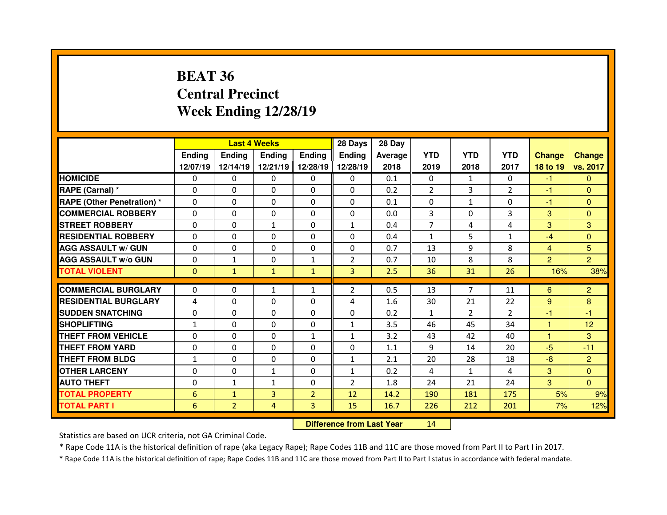# **BEAT 36 Central PrecinctWeek Ending 12/28/19**

|                             |               | <b>Last 4 Weeks</b><br>Ending<br><b>Ending</b><br><b>Ending</b> |              |                   |                | 28 Day  |                |                |                |                |                |
|-----------------------------|---------------|-----------------------------------------------------------------|--------------|-------------------|----------------|---------|----------------|----------------|----------------|----------------|----------------|
|                             | <b>Ending</b> |                                                                 |              |                   | Ending         | Average | <b>YTD</b>     | <b>YTD</b>     | <b>YTD</b>     | <b>Change</b>  | <b>Change</b>  |
|                             | 12/07/19      | 12/14/19                                                        |              | 12/21/19 12/28/19 | 12/28/19       | 2018    | 2019           | 2018           | 2017           | 18 to 19       | vs. 2017       |
| <b>HOMICIDE</b>             | $\mathbf{0}$  | $\mathbf{0}$                                                    | 0            | $\mathbf{0}$      | 0              | 0.1     | 0              | 1              | $\Omega$       | $-1$           | $\Omega$       |
| RAPE (Carnal) *             | $\Omega$      | $\Omega$                                                        | $\Omega$     | $\Omega$          | $\Omega$       | 0.2     | $\overline{2}$ | 3              | $\mathcal{P}$  | $-1$           | $\Omega$       |
| RAPE (Other Penetration) *  | $\Omega$      | $\Omega$                                                        | $\Omega$     | $\Omega$          | $\Omega$       | 0.1     | $\Omega$       | $\mathbf{1}$   | $\Omega$       | $-1$           | $\Omega$       |
| <b>COMMERCIAL ROBBERY</b>   | $\Omega$      | $\Omega$                                                        | $\Omega$     | $\Omega$          | $\Omega$       | 0.0     | 3              | $\Omega$       | 3              | 3              | $\Omega$       |
| <b>STREET ROBBERY</b>       | $\Omega$      | $\Omega$                                                        | $\mathbf{1}$ | $\Omega$          | $\mathbf{1}$   | 0.4     | $\overline{7}$ | 4              | 4              | 3              | 3              |
| <b>RESIDENTIAL ROBBERY</b>  | $\Omega$      | $\Omega$                                                        | $\mathbf{0}$ | $\Omega$          | $\Omega$       | 0.4     | $\mathbf{1}$   | 5              | $\mathbf{1}$   | $-4$           | $\Omega$       |
| <b>AGG ASSAULT w/ GUN</b>   | $\Omega$      | 0                                                               | $\Omega$     | $\Omega$          | $\Omega$       | 0.7     | 13             | 9              | 8              | $\overline{4}$ | 5              |
| <b>AGG ASSAULT w/o GUN</b>  | $\Omega$      | $\mathbf{1}$                                                    | $\Omega$     | $\mathbf{1}$      | $\overline{2}$ | 0.7     | 10             | 8              | 8              | $\overline{2}$ | $\overline{2}$ |
| <b>TOTAL VIOLENT</b>        | $\mathbf{0}$  | $\mathbf{1}$                                                    | $\mathbf{1}$ | $\mathbf{1}$      | $\overline{3}$ | 2.5     | 36             | 31             | 26             | 16%            | 38%            |
| <b>COMMERCIAL BURGLARY</b>  | 0             |                                                                 |              |                   |                |         |                | $\overline{7}$ |                |                |                |
|                             |               | 0                                                               | 1            | 1                 | $\overline{2}$ | 0.5     | 13             |                | 11             | 6              | $\overline{2}$ |
| <b>RESIDENTIAL BURGLARY</b> | 4             | 0                                                               | 0            | $\Omega$          | 4              | 1.6     | 30             | 21             | 22             | 9              | 8              |
| <b>SUDDEN SNATCHING</b>     | 0             | $\Omega$                                                        | $\Omega$     | $\Omega$          | 0              | 0.2     | $\mathbf{1}$   | $\overline{2}$ | $\overline{2}$ | $-1$           | $-1$           |
| <b>SHOPLIFTING</b>          | $\mathbf{1}$  | $\Omega$                                                        | $\Omega$     | $\Omega$          | $\mathbf{1}$   | 3.5     | 46             | 45             | 34             | 1              | 12             |
| <b>THEFT FROM VEHICLE</b>   | 0             | $\Omega$                                                        | 0            | $\mathbf{1}$      | $\mathbf{1}$   | 3.2     | 43             | 42             | 40             | 1              | 3              |
| <b>THEFT FROM YARD</b>      | 0             | 0                                                               | $\Omega$     | $\Omega$          | 0              | 1.1     | 9              | 14             | 20             | $-5$           | $-11$          |
| <b>THEFT FROM BLDG</b>      | $\mathbf{1}$  | $\Omega$                                                        | $\Omega$     | $\Omega$          | $\mathbf{1}$   | 2.1     | 20             | 28             | 18             | $-8$           | $\overline{2}$ |
| <b>OTHER LARCENY</b>        | 0             | 0                                                               | $\mathbf{1}$ | $\Omega$          | $\mathbf{1}$   | 0.2     | 4              | $\mathbf{1}$   | 4              | 3              | $\Omega$       |
| <b>AUTO THEFT</b>           | 0             | $\mathbf{1}$                                                    | $\mathbf{1}$ | $\Omega$          | $\overline{2}$ | 1.8     | 24             | 21             | 24             | 3              | $\Omega$       |
| <b>TOTAL PROPERTY</b>       | 6             | $\mathbf{1}$                                                    | 3            | $\overline{2}$    | 12             | 14.2    | 190            | 181            | 175            | 5%             | 9%             |
|                             |               |                                                                 |              |                   |                |         |                |                |                |                |                |
| <b>TOTAL PART I</b>         | 6             | $\overline{2}$                                                  | 4            | 3                 | 15             | 16.7    | 226            | 212            | 201            | 7%             | 12%            |

 **Difference from Last Year**<sup>14</sup>

Statistics are based on UCR criteria, not GA Criminal Code.

\* Rape Code 11A is the historical definition of rape (aka Legacy Rape); Rape Codes 11B and 11C are those moved from Part II to Part I in 2017.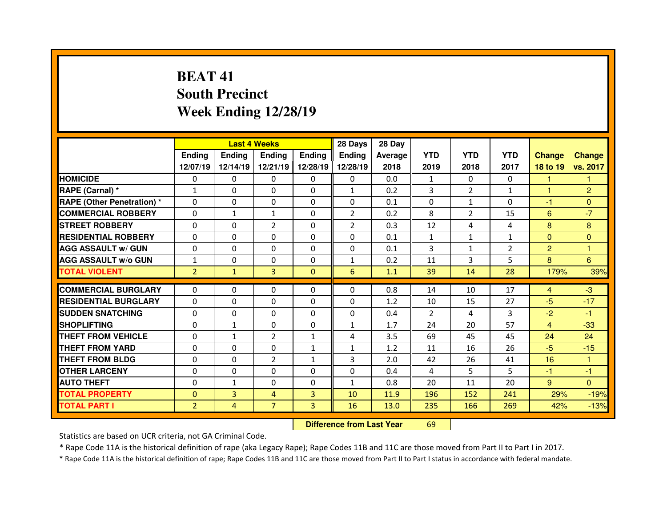# **BEAT 41 South PrecinctWeek Ending 12/28/19**

|                                  |                |                | <b>Last 4 Weeks</b> |                   | 28 Days        | 28 Day  |              |                |                |                |                |
|----------------------------------|----------------|----------------|---------------------|-------------------|----------------|---------|--------------|----------------|----------------|----------------|----------------|
|                                  | <b>Ending</b>  | <b>Endina</b>  | <b>Ending</b>       | <b>Ending</b>     | Ending         | Average | <b>YTD</b>   | <b>YTD</b>     | <b>YTD</b>     | <b>Change</b>  | <b>Change</b>  |
|                                  | 12/07/19       | 12/14/19       |                     | 12/21/19 12/28/19 | 12/28/19       | 2018    | 2019         | 2018           | 2017           | 18 to 19       | vs. 2017       |
| <b>HOMICIDE</b>                  | 0              | 0              | $\Omega$            | $\Omega$          | 0              | 0.0     | 1            | $\Omega$       | $\Omega$       | 1              | 1              |
| RAPE (Carnal) *                  | $\mathbf{1}$   | 0              | $\mathbf{0}$        | $\Omega$          | $\mathbf{1}$   | 0.2     | 3            | $\overline{2}$ | $\mathbf{1}$   | $\mathbf{1}$   | $\overline{2}$ |
| <b>RAPE (Other Penetration)*</b> | $\Omega$       | $\Omega$       | $\Omega$            | $\Omega$          | 0              | 0.1     | $\Omega$     | $\mathbf{1}$   | 0              | -1             | $\Omega$       |
| <b>COMMERCIAL ROBBERY</b>        | $\Omega$       | $\mathbf{1}$   | $\mathbf{1}$        | $\Omega$          | $\overline{2}$ | 0.2     | 8            | $\overline{2}$ | 15             | 6              | $-7$           |
| <b>STREET ROBBERY</b>            | $\Omega$       | $\Omega$       | $\overline{2}$      | $\Omega$          | $\overline{2}$ | 0.3     | 12           | 4              | 4              | 8              | 8              |
| <b>RESIDENTIAL ROBBERY</b>       | $\Omega$       | $\Omega$       | $\mathbf{0}$        | $\Omega$          | $\Omega$       | 0.1     | $\mathbf{1}$ | $\mathbf{1}$   | $\mathbf{1}$   | $\Omega$       | $\Omega$       |
| <b>AGG ASSAULT w/ GUN</b>        | $\Omega$       | $\Omega$       | $\Omega$            | $\Omega$          | $\Omega$       | 0.1     | 3            | $\mathbf{1}$   | $\overline{2}$ | $\overline{2}$ | 1              |
| <b>AGG ASSAULT w/o GUN</b>       | $\mathbf{1}$   | 0              | 0                   | $\Omega$          | $\mathbf{1}$   | 0.2     | 11           | 3              | 5              | 8              | 6              |
| <b>TOTAL VIOLENT</b>             | $\overline{2}$ | $\mathbf{1}$   | 3                   | $\Omega$          | 6              | 1.1     | 39           | 14             | 28             | 179%           | 39%            |
|                                  |                |                |                     |                   |                |         |              |                |                |                |                |
| <b>COMMERCIAL BURGLARY</b>       | 0              | 0              | 0                   | $\Omega$          | 0              | 0.8     | 14           | 10             | 17             | 4              | $-3$           |
| <b>RESIDENTIAL BURGLARY</b>      | 0              | $\Omega$       | 0                   | $\Omega$          | 0              | 1.2     | 10           | 15             | 27             | $-5$           | $-17$          |
| <b>SUDDEN SNATCHING</b>          | 0              | 0              | 0                   | $\Omega$          | 0              | 0.4     | 2            | 4              | 3              | $-2$           | $-1$           |
| <b>SHOPLIFTING</b>               | 0              | $\mathbf{1}$   | $\Omega$            | $\Omega$          | $\mathbf{1}$   | 1.7     | 24           | 20             | 57             | $\overline{4}$ | $-33$          |
| <b>THEFT FROM VEHICLE</b>        | 0              | $\mathbf{1}$   | $\overline{2}$      | $\mathbf{1}$      | 4              | 3.5     | 69           | 45             | 45             | 24             | 24             |
| <b>THEFT FROM YARD</b>           | 0              | $\Omega$       | $\Omega$            | 1                 | $\mathbf{1}$   | 1.2     | 11           | 16             | 26             | $-5$           | $-15$          |
| <b>THEFT FROM BLDG</b>           | $\mathbf{0}$   | 0              | $\overline{2}$      | $\mathbf{1}$      | 3              | 2.0     | 42           | 26             | 41             | 16             | $\mathbf{1}$   |
| <b>OTHER LARCENY</b>             | $\Omega$       | $\Omega$       | $\Omega$            | $\Omega$          | $\Omega$       | 0.4     | 4            | 5.             | 5              | -1             | -1             |
| <b>AUTO THEFT</b>                | $\mathbf{0}$   | $\mathbf{1}$   | $\Omega$            | $\Omega$          | $\mathbf{1}$   | 0.8     | 20           | 11             | 20             | 9              | $\Omega$       |
| <b>TOTAL PROPERTY</b>            | $\Omega$       | $\overline{3}$ | 4                   | $\overline{3}$    | 10             | 11.9    | 196          | 152            | 241            | 29%            | $-19%$         |
| <b>TOTAL PART I</b>              | $\overline{2}$ | $\overline{4}$ | $\overline{7}$      | 3                 | 16             | 13.0    | 235          | 166            | 269            | 42%            | $-13%$         |
|                                  |                |                |                     |                   |                |         |              |                |                |                |                |

 **Difference from Last Year**<sup>69</sup>

Statistics are based on UCR criteria, not GA Criminal Code.

\* Rape Code 11A is the historical definition of rape (aka Legacy Rape); Rape Codes 11B and 11C are those moved from Part II to Part I in 2017.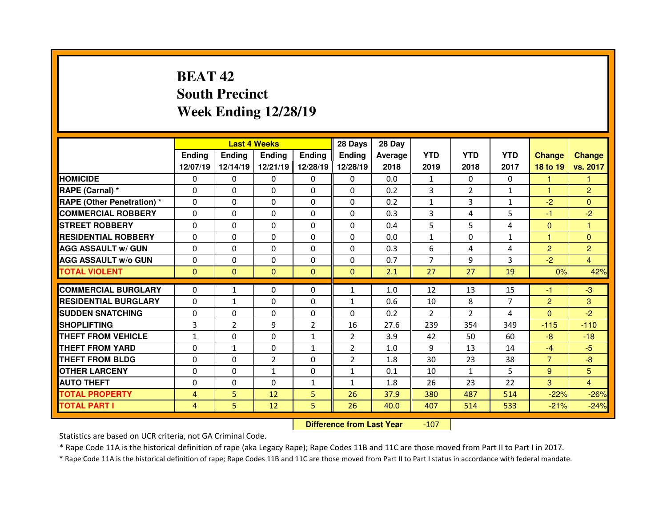# **BEAT 42 South PrecinctWeek Ending 12/28/19**

|                                  |                | <b>Last 4 Weeks</b> |                |                   | 28 Days        | 28 Day  |                |               |                |                |                |
|----------------------------------|----------------|---------------------|----------------|-------------------|----------------|---------|----------------|---------------|----------------|----------------|----------------|
|                                  | Ending         | <b>Ending</b>       | Ending         | <b>Ending</b>     | Ending         | Average | <b>YTD</b>     | <b>YTD</b>    | <b>YTD</b>     | <b>Change</b>  | <b>Change</b>  |
|                                  | 12/07/19       | 12/14/19            |                | 12/21/19 12/28/19 | 12/28/19       | 2018    | 2019           | 2018          | 2017           | 18 to 19       | vs. 2017       |
| <b>HOMICIDE</b>                  | $\Omega$       | $\Omega$            | 0              | $\Omega$          | 0              | 0.0     | 1              | $\Omega$      | 0              | 1.             | 1              |
| RAPE (Carnal) *                  | $\Omega$       | 0                   | $\Omega$       | $\Omega$          | $\Omega$       | 0.2     | 3              | $\mathcal{P}$ | $\mathbf{1}$   | $\mathbf{1}$   | $\overline{2}$ |
| <b>RAPE (Other Penetration)*</b> | $\Omega$       | 0                   | $\Omega$       | $\Omega$          | $\Omega$       | 0.2     | $\mathbf{1}$   | 3             | $\mathbf{1}$   | $-2$           | $\overline{0}$ |
| <b>COMMERCIAL ROBBERY</b>        | $\Omega$       | 0                   | 0              | $\Omega$          | $\Omega$       | 0.3     | 3              | 4             | 5              | $-1$           | $-2$           |
| <b>STREET ROBBERY</b>            | $\Omega$       | 0                   | $\Omega$       | $\Omega$          | $\Omega$       | 0.4     | 5              | 5             | 4              | $\mathbf{0}$   | 1              |
| <b>RESIDENTIAL ROBBERY</b>       | $\Omega$       | 0                   | $\Omega$       | $\Omega$          | $\Omega$       | 0.0     | $\mathbf{1}$   | $\Omega$      | $\mathbf{1}$   | $\mathbf{1}$   | $\Omega$       |
| <b>AGG ASSAULT w/ GUN</b>        | $\Omega$       | 0                   | $\Omega$       | $\Omega$          | $\Omega$       | 0.3     | 6              | 4             | 4              | $\overline{2}$ | $\overline{2}$ |
| <b>AGG ASSAULT w/o GUN</b>       | $\Omega$       | 0                   | $\Omega$       | $\Omega$          | $\Omega$       | 0.7     | $\overline{7}$ | 9             | 3              | $-2$           | $\overline{4}$ |
| <b>TOTAL VIOLENT</b>             | $\mathbf{0}$   | $\mathbf{0}$        | $\mathbf{0}$   | $\mathbf{0}$      | $\mathbf{0}$   | 2.1     | 27             | 27            | 19             | 0%             | 42%            |
| <b>COMMERCIAL BURGLARY</b>       | $\Omega$       | $\mathbf{1}$        | 0              | $\Omega$          | $\mathbf{1}$   | 1.0     | 12             | 13            | 15             | -1             | $-3$           |
|                                  |                |                     |                |                   |                |         |                |               | $\overline{7}$ |                |                |
| <b>RESIDENTIAL BURGLARY</b>      | $\Omega$       | $\mathbf{1}$        | 0              | $\Omega$          | $\mathbf{1}$   | 0.6     | 10             | 8             |                | $\overline{2}$ | 3              |
| <b>SUDDEN SNATCHING</b>          | $\Omega$       | 0                   | 0              | $\mathbf{0}$      | $\Omega$       | 0.2     | $\mathcal{P}$  | $\mathcal{P}$ | 4              | $\Omega$       | $-2$           |
| <b>SHOPLIFTING</b>               | 3              | $\overline{2}$      | 9              | $\overline{2}$    | 16             | 27.6    | 239            | 354           | 349            | $-115$         | $-110$         |
| THEFT FROM VEHICLE               | $\mathbf{1}$   | 0                   | $\Omega$       | $\mathbf{1}$      | $\overline{2}$ | 3.9     | 42             | 50            | 60             | $-8$           | $-18$          |
| <b>THEFT FROM YARD</b>           | $\Omega$       | $\mathbf{1}$        | $\Omega$       | 1                 | $\overline{2}$ | 1.0     | 9              | 13            | 14             | $-4$           | $-5$           |
| <b>THEFT FROM BLDG</b>           | 0              | 0                   | $\overline{2}$ | $\mathbf{0}$      | $\overline{2}$ | 1.8     | 30             | 23            | 38             | $\overline{7}$ | $-8$           |
| <b>OTHER LARCENY</b>             | $\Omega$       | 0                   | $\mathbf{1}$   | $\Omega$          | $\mathbf{1}$   | 0.1     | 10             | $\mathbf{1}$  | 5.             | 9              | 5              |
| <b>AUTO THEFT</b>                | 0              | 0                   | 0              | $\mathbf{1}$      | $\mathbf{1}$   | 1.8     | 26             | 23            | 22             | 3              | $\overline{4}$ |
| <b>TOTAL PROPERTY</b>            | $\overline{4}$ | 5                   | 12             | 5                 | 26             | 37.9    | 380            | 487           | 514            | $-22%$         | $-26%$         |
| <b>TOTAL PART I</b>              | $\overline{4}$ | 5                   | 12             | 5 <sup>1</sup>    | 26             | 40.0    | 407            | 514           | 533            | $-21%$         | $-24%$         |

 **Difference from Last Year**-107

Statistics are based on UCR criteria, not GA Criminal Code.

\* Rape Code 11A is the historical definition of rape (aka Legacy Rape); Rape Codes 11B and 11C are those moved from Part II to Part I in 2017.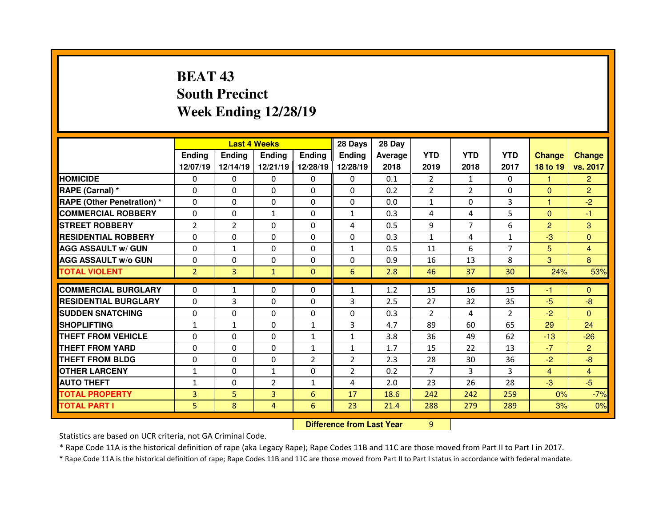# **BEAT 43 South PrecinctWeek Ending 12/28/19**

|                                  |                |                | <b>Last 4 Weeks</b> |                | 28 Days                          | 28 Day         |                |                |                |                |                |
|----------------------------------|----------------|----------------|---------------------|----------------|----------------------------------|----------------|----------------|----------------|----------------|----------------|----------------|
|                                  | <b>Ending</b>  | Ending         | Ending              | <b>Ending</b>  | Ending                           | <b>Average</b> | <b>YTD</b>     | <b>YTD</b>     | <b>YTD</b>     | <b>Change</b>  | <b>Change</b>  |
|                                  | 12/07/19       | 12/14/19       | 12/21/19            | 12/28/19       | 12/28/19                         | 2018           | 2019           | 2018           | 2017           | 18 to 19       | vs. 2017       |
| <b>HOMICIDE</b>                  | $\Omega$       | 0              | 0                   | $\Omega$       | 0                                | 0.1            | $\overline{2}$ | 1              | $\mathbf{0}$   | 1              | $\overline{2}$ |
| <b>RAPE (Carnal) *</b>           | 0              | 0              | 0                   | $\mathbf 0$    | $\Omega$                         | 0.2            | $\overline{2}$ | $\overline{2}$ | $\Omega$       | $\overline{0}$ | $\overline{2}$ |
| <b>RAPE (Other Penetration)*</b> | 0              | 0              | $\Omega$            | $\Omega$       | 0                                | 0.0            | $\mathbf{1}$   | $\Omega$       | 3              | н              | $-2$           |
| <b>COMMERCIAL ROBBERY</b>        | 0              | 0              | $\mathbf{1}$        | 0              | $\mathbf{1}$                     | 0.3            | 4              | 4              | 5              | $\overline{0}$ | $-1$           |
| <b>STREET ROBBERY</b>            | $\overline{2}$ | $\overline{2}$ | $\Omega$            | $\Omega$       | 4                                | 0.5            | 9              | $\overline{7}$ | 6              | $\overline{2}$ | 3              |
| <b>RESIDENTIAL ROBBERY</b>       | $\Omega$       | $\Omega$       | $\mathbf{0}$        | $\Omega$       | $\Omega$                         | 0.3            | $\mathbf{1}$   | 4              | $\mathbf{1}$   | $-3$           | $\Omega$       |
| <b>AGG ASSAULT w/ GUN</b>        | $\Omega$       | $\mathbf{1}$   | $\mathbf{0}$        | $\Omega$       | $\mathbf{1}$                     | 0.5            | 11             | 6              | $\overline{7}$ | 5 <sup>5</sup> | $\overline{4}$ |
| <b>AGG ASSAULT w/o GUN</b>       | $\Omega$       | $\Omega$       | $\mathbf{0}$        | $\Omega$       | $\Omega$                         | 0.9            | 16             | 13             | 8              | 3              | 8              |
| <b>TOTAL VIOLENT</b>             | $\overline{2}$ | 3              | $\mathbf{1}$        | $\Omega$       | 6                                | 2.8            | 46             | 37             | 30             | 24%            | 53%            |
| <b>COMMERCIAL BURGLARY</b>       | $\Omega$       | $\mathbf{1}$   | $\mathbf{0}$        | $\Omega$       | $\mathbf{1}$                     | 1.2            | 15             | 16             | 15             | $-1$           | $\Omega$       |
| <b>RESIDENTIAL BURGLARY</b>      | $\Omega$       | 3              | $\Omega$            | $\Omega$       | 3                                | 2.5            | 27             | 32             | 35             | $-5$           | $-8$           |
| <b>SUDDEN SNATCHING</b>          | 0              | 0              | $\Omega$            | $\Omega$       | 0                                | 0.3            | 2              | 4              | $\mathcal{P}$  | $-2$           | $\Omega$       |
| <b>SHOPLIFTING</b>               | $\mathbf{1}$   | $\mathbf{1}$   | $\mathbf{0}$        | $\mathbf{1}$   | 3                                | 4.7            | 89             | 60             | 65             | 29             | 24             |
| <b>THEFT FROM VEHICLE</b>        | 0              | 0              | 0                   | $\mathbf{1}$   | $\mathbf{1}$                     | 3.8            | 36             | 49             | 62             | $-13$          | $-26$          |
| <b>THEFT FROM YARD</b>           | 0              | 0              | 0                   | 1              | $\mathbf{1}$                     | 1.7            | 15             | 22             | 13             | $-7$           | $\overline{2}$ |
| <b>THEFT FROM BLDG</b>           | 0              | 0              | 0                   | $\overline{2}$ | $\overline{2}$                   | 2.3            | 28             | 30             | 36             | $-2$           | $-8$           |
| <b>OTHER LARCENY</b>             | $\mathbf{1}$   | 0              | $\mathbf{1}$        | $\Omega$       | $\overline{2}$                   | 0.2            | $\overline{7}$ | 3              | 3              | $\overline{4}$ | $\overline{4}$ |
| <b>AUTO THEFT</b>                | $\mathbf{1}$   | 0              | $\overline{2}$      | $\mathbf{1}$   | 4                                | 2.0            | 23             | 26             | 28             | $-3$           | $-5$           |
| <b>TOTAL PROPERTY</b>            | 3              | 5              | 3                   | 6              | 17                               | 18.6           | 242            | 242            | 259            | 0%             | $-7%$          |
| <b>TOTAL PART I</b>              | 5              | 8              | $\overline{4}$      | 6              | 23                               | 21.4           | 288            | 279            | 289            | 3%             | 0%             |
|                                  |                |                |                     |                | <b>Difference from Last Year</b> |                | 9              |                |                |                |                |

 **Difference from Last Year**

Statistics are based on UCR criteria, not GA Criminal Code.

\* Rape Code 11A is the historical definition of rape (aka Legacy Rape); Rape Codes 11B and 11C are those moved from Part II to Part I in 2017.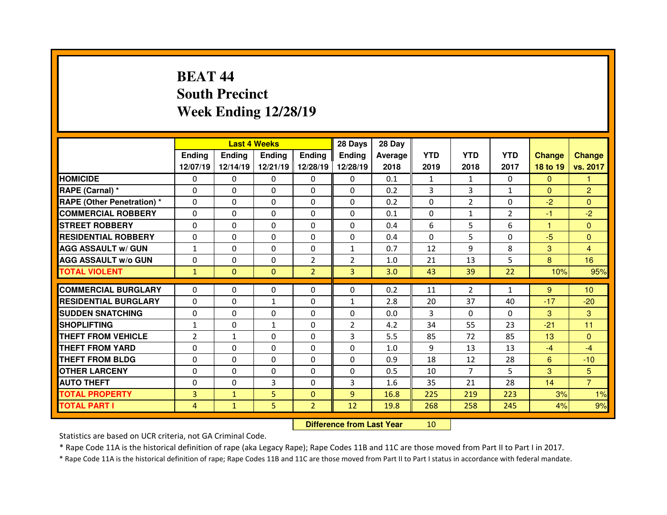# **BEAT 44 South PrecinctWeek Ending 12/28/19**

|                                  |                | <b>Last 4 Weeks</b> |               |                | 28 Days        | 28 Day         |              |                |               |               |                 |
|----------------------------------|----------------|---------------------|---------------|----------------|----------------|----------------|--------------|----------------|---------------|---------------|-----------------|
|                                  | Ending         | <b>Endina</b>       | <b>Ending</b> | <b>Ending</b>  | <b>Ending</b>  | <b>Average</b> | <b>YTD</b>   | <b>YTD</b>     | <b>YTD</b>    | <b>Change</b> | <b>Change</b>   |
|                                  | 12/07/19       | 12/14/19            | 12/21/19      | 12/28/19       | 12/28/19       | 2018           | 2019         | 2018           | 2017          | 18 to 19      | vs. 2017        |
| <b>HOMICIDE</b>                  | 0              | $\Omega$            | $\Omega$      | $\Omega$       | 0              | 0.1            | $\mathbf{1}$ | $\mathbf{1}$   | $\Omega$      | $\Omega$      | 1               |
| RAPE (Carnal) *                  | $\Omega$       | 0                   | 0             | $\Omega$       | $\Omega$       | 0.2            | 3            | 3              | $\mathbf{1}$  | $\mathbf{0}$  | 2               |
| <b>RAPE (Other Penetration)*</b> | $\Omega$       | 0                   | 0             | $\Omega$       | $\Omega$       | 0.2            | $\Omega$     | $\overline{2}$ | $\Omega$      | $-2$          | $\Omega$        |
| <b>COMMERCIAL ROBBERY</b>        | $\Omega$       | 0                   | $\Omega$      | $\Omega$       | $\Omega$       | 0.1            | $\Omega$     | $\mathbf{1}$   | $\mathcal{P}$ | -1            | $-2$            |
| <b>STREET ROBBERY</b>            | $\Omega$       | 0                   | $\Omega$      | $\Omega$       | $\Omega$       | 0.4            | 6            | 5              | 6             | 1             | $\Omega$        |
| <b>RESIDENTIAL ROBBERY</b>       | $\Omega$       | 0                   | 0             | $\Omega$       | $\Omega$       | 0.4            | $\Omega$     | 5.             | $\Omega$      | $-5$          | $\Omega$        |
| <b>AGG ASSAULT w/ GUN</b>        | $\mathbf{1}$   | 0                   | $\Omega$      | $\Omega$       | $\mathbf{1}$   | 0.7            | 12           | 9              | 8             | 3             | $\overline{4}$  |
| <b>AGG ASSAULT W/o GUN</b>       | $\mathbf{0}$   | 0                   | $\Omega$      | $\overline{2}$ | $\overline{2}$ | 1.0            | 21           | 13             | 5             | 8             | 16              |
| <b>TOTAL VIOLENT</b>             | $\mathbf{1}$   | $\mathbf{0}$        | $\mathbf{0}$  | $\overline{2}$ | 3 <sup>1</sup> | 3.0            | 43           | 39             | 22            | 10%           | 95%             |
| <b>COMMERCIAL BURGLARY</b>       | $\Omega$       |                     |               |                |                |                |              |                |               |               |                 |
|                                  |                | 0                   | 0             | 0              | 0              | 0.2            | 11           | $\overline{2}$ | 1             | 9             | 10 <sup>°</sup> |
| <b>RESIDENTIAL BURGLARY</b>      | $\Omega$       | 0                   | 1             | 0              | $\mathbf{1}$   | 2.8            | 20           | 37             | 40            | $-17$         | $-20$           |
| <b>SUDDEN SNATCHING</b>          | $\Omega$       | 0                   | $\Omega$      | $\mathbf{0}$   | $\Omega$       | 0.0            | 3            | $\Omega$       | $\Omega$      | 3             | 3               |
| <b>SHOPLIFTING</b>               | $\mathbf{1}$   | 0                   | $\mathbf{1}$  | $\mathbf{0}$   | $\overline{2}$ | 4.2            | 34           | 55             | 23            | $-21$         | 11              |
| THEFT FROM VEHICLE               | $\overline{2}$ | $\mathbf{1}$        | 0             | $\mathbf{0}$   | 3              | 5.5            | 85           | 72             | 85            | 13            | $\Omega$        |
| <b>THEFT FROM YARD</b>           | 0              | 0                   | $\Omega$      | $\mathbf{0}$   | $\Omega$       | 1.0            | 9            | 13             | 13            | $-4$          | $-4$            |
| <b>THEFT FROM BLDG</b>           | $\Omega$       | 0                   | 0             | $\Omega$       | $\Omega$       | 0.9            | 18           | 12             | 28            | 6             | $-10$           |
| <b>OTHER LARCENY</b>             | $\Omega$       | 0                   | $\Omega$      | $\Omega$       | $\Omega$       | 0.5            | 10           | $\overline{7}$ | 5.            | 3             | 5               |
| <b>AUTO THEFT</b>                | 0              | 0                   | 3             | $\Omega$       | 3              | 1.6            | 35           | 21             | 28            | 14            | $\overline{7}$  |
| <b>TOTAL PROPERTY</b>            | $\overline{3}$ | $\mathbf{1}$        | 5             | $\mathbf{0}$   | $\overline{9}$ | 16.8           | 225          | 219            | 223           | 3%            | 1%              |
| <b>TOTAL PART I</b>              | 4              | $\mathbf{1}$        | 5             | $\overline{2}$ | 12             | 19.8           | 268          | 258            | 245           | 4%            | 9%              |
|                                  |                |                     |               |                |                |                |              |                |               |               |                 |

 **Difference from Last Year**<sup>10</sup>

Statistics are based on UCR criteria, not GA Criminal Code.

\* Rape Code 11A is the historical definition of rape (aka Legacy Rape); Rape Codes 11B and 11C are those moved from Part II to Part I in 2017.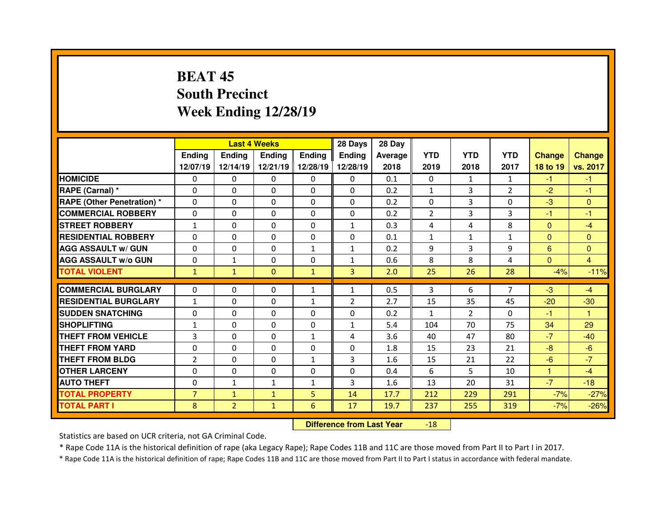# **BEAT 45 South PrecinctWeek Ending 12/28/19**

|                                  |                |                | <b>Last 4 Weeks</b> |                   | 28 Days        | 28 Day  |              |                |                |                |                |
|----------------------------------|----------------|----------------|---------------------|-------------------|----------------|---------|--------------|----------------|----------------|----------------|----------------|
|                                  | <b>Ending</b>  | <b>Endina</b>  | <b>Ending</b>       | <b>Ending</b>     | Ending         | Average | <b>YTD</b>   | <b>YTD</b>     | <b>YTD</b>     | <b>Change</b>  | <b>Change</b>  |
|                                  | 12/07/19       | 12/14/19       |                     | 12/21/19 12/28/19 | 12/28/19       | 2018    | 2019         | 2018           | 2017           | 18 to 19       | vs. 2017       |
| <b>HOMICIDE</b>                  | $\Omega$       | 0              | $\Omega$            | $\Omega$          | 0              | 0.1     | $\Omega$     | 1              | $\mathbf{1}$   | $-1$           | $-1$           |
| RAPE (Carnal) *                  | 0              | $\Omega$       | $\mathbf{0}$        | $\Omega$          | 0              | 0.2     | $\mathbf{1}$ | 3              | $\overline{2}$ | $-2$           | $-1$           |
| <b>RAPE (Other Penetration)*</b> | 0              | $\Omega$       | $\Omega$            | $\Omega$          | 0              | 0.2     | 0            | 3              | $\Omega$       | $-3$           | $\Omega$       |
| <b>COMMERCIAL ROBBERY</b>        | $\Omega$       | 0              | $\Omega$            | $\Omega$          | 0              | 0.2     | 2            | 3              | 3              | $-1$           | -1             |
| <b>STREET ROBBERY</b>            | $\mathbf{1}$   | $\Omega$       | $\mathbf{0}$        | $\Omega$          | $\mathbf{1}$   | 0.3     | 4            | 4              | 8              | $\Omega$       | $-4$           |
| <b>RESIDENTIAL ROBBERY</b>       | $\Omega$       | $\Omega$       | $\Omega$            | $\Omega$          | $\Omega$       | 0.1     | $\mathbf{1}$ | $\mathbf{1}$   | $\mathbf{1}$   | $\mathbf{0}$   | $\Omega$       |
| <b>AGG ASSAULT w/ GUN</b>        | 0              | 0              | $\Omega$            | $\mathbf{1}$      | $\mathbf{1}$   | 0.2     | 9            | 3              | 9              | 6              | $\Omega$       |
| <b>AGG ASSAULT w/o GUN</b>       | $\Omega$       | $\mathbf{1}$   | $\mathbf{0}$        | $\Omega$          | $\mathbf{1}$   | 0.6     | 8            | 8              | 4              | $\overline{0}$ | $\overline{4}$ |
| <b>TOTAL VIOLENT</b>             | $\mathbf{1}$   | $\mathbf{1}$   | $\mathbf{0}$        | $\mathbf{1}$      | $\overline{3}$ | 2.0     | 25           | 26             | 28             | $-4%$          | $-11%$         |
|                                  |                |                |                     |                   |                |         |              |                |                |                |                |
|                                  |                |                |                     |                   |                |         |              |                |                |                |                |
| <b>COMMERCIAL BURGLARY</b>       | 0              | 0              | 0                   | 1                 | 1              | 0.5     | 3            | 6              | $\overline{7}$ | $-3$           | $-4$           |
| <b>RESIDENTIAL BURGLARY</b>      | $\mathbf{1}$   | 0              | 0                   | $\mathbf{1}$      | 2              | 2.7     | 15           | 35             | 45             | $-20$          | $-30$          |
| <b>SUDDEN SNATCHING</b>          | 0              | $\Omega$       | $\Omega$            | $\Omega$          | 0              | 0.2     | $\mathbf{1}$ | $\overline{2}$ | $\Omega$       | -1             | 1              |
| <b>SHOPLIFTING</b>               | $\mathbf{1}$   | $\Omega$       | 0                   | $\Omega$          | $\mathbf{1}$   | 5.4     | 104          | 70             | 75             | 34             | 29             |
| <b>THEFT FROM VEHICLE</b>        | 3              | 0              | 0                   | $\mathbf{1}$      | 4              | 3.6     | 40           | 47             | 80             | $-7$           | $-40$          |
| <b>THEFT FROM YARD</b>           | 0              | $\Omega$       | 0                   | $\Omega$          | 0              | 1.8     | 15           | 23             | 21             | $-8$           | $-6$           |
| <b>THEFT FROM BLDG</b>           | $\overline{2}$ | 0              | $\mathbf{0}$        | $\mathbf{1}$      | 3              | 1.6     | 15           | 21             | 22             | $-6$           | $-7$           |
| <b>OTHER LARCENY</b>             | 0              | 0              | $\Omega$            | $\Omega$          | $\Omega$       | 0.4     | 6            | 5.             | 10             | 1.             | $-4$           |
| <b>AUTO THEFT</b>                | 0              | $\mathbf{1}$   | $\mathbf{1}$        | 1                 | 3              | 1.6     | 13           | 20             | 31             | $-7$           | $-18$          |
| <b>TOTAL PROPERTY</b>            | $\overline{7}$ | $\mathbf{1}$   | $\mathbf{1}$        | 5                 | 14             | 17.7    | 212          | 229            | 291            | $-7%$          | $-27%$         |
| <b>TOTAL PART I</b>              | 8              | $\overline{2}$ | $\mathbf{1}$        | 6                 | 17             | 19.7    | 237          | 255            | 319            | $-7%$          | $-26%$         |

 **Difference from Last Year**-18

Statistics are based on UCR criteria, not GA Criminal Code.

\* Rape Code 11A is the historical definition of rape (aka Legacy Rape); Rape Codes 11B and 11C are those moved from Part II to Part I in 2017.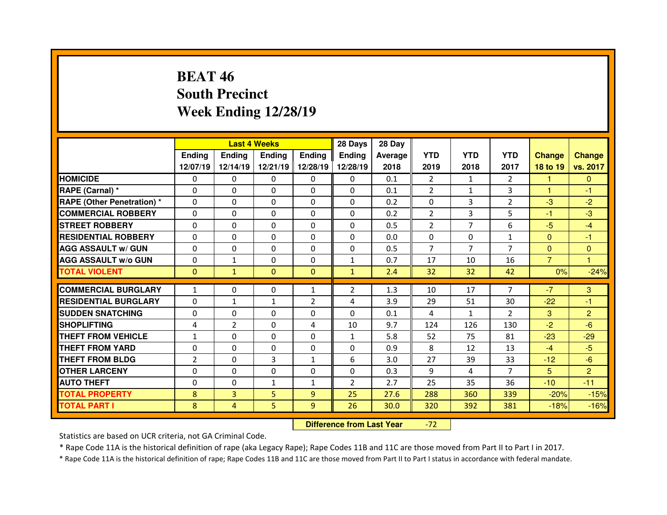# **BEAT 46 South PrecinctWeek Ending 12/28/19**

|                                  |                | <b>Last 4 Weeks</b> |               |                   | 28 Days        | 28 Day  |                |                |                |                |                |
|----------------------------------|----------------|---------------------|---------------|-------------------|----------------|---------|----------------|----------------|----------------|----------------|----------------|
|                                  | Ending         | <b>Endina</b>       | <b>Ending</b> | <b>Ending</b>     | Ending         | Average | <b>YTD</b>     | <b>YTD</b>     | <b>YTD</b>     | <b>Change</b>  | <b>Change</b>  |
|                                  | 12/07/19       | 12/14/19            |               | 12/21/19 12/28/19 | 12/28/19       | 2018    | 2019           | 2018           | 2017           | 18 to 19       | vs. 2017       |
| <b>HOMICIDE</b>                  | 0              | 0                   | 0             | $\Omega$          | 0              | 0.1     | 2              | $\mathbf{1}$   | $\mathcal{P}$  | 1.             | $\mathbf{0}$   |
| RAPE (Carnal) *                  | $\Omega$       | 0                   | 0             | $\Omega$          | 0              | 0.1     | 2              | $\mathbf{1}$   | 3              | 1.             | $-1$           |
| <b>RAPE (Other Penetration)*</b> | $\Omega$       | 0                   | $\Omega$      | $\Omega$          | 0              | 0.2     | $\Omega$       | 3              | $\mathcal{P}$  | $-3$           | $-2$           |
| <b>COMMERCIAL ROBBERY</b>        | $\Omega$       | 0                   | $\Omega$      | $\Omega$          | $\Omega$       | 0.2     | 2              | 3              | 5              | $-1$           | $-3$           |
| <b>STREET ROBBERY</b>            | $\Omega$       | 0                   | $\Omega$      | $\Omega$          | $\Omega$       | 0.5     | 2              | $\overline{7}$ | 6              | $-5$           | $-4$           |
| <b>RESIDENTIAL ROBBERY</b>       | $\Omega$       | 0                   | $\Omega$      | $\Omega$          | $\Omega$       | 0.0     | $\Omega$       | $\Omega$       | $\mathbf{1}$   | $\mathbf{0}$   | $-1$           |
| <b>AGG ASSAULT w/ GUN</b>        | $\Omega$       | 0                   | $\Omega$      | $\Omega$          | $\Omega$       | 0.5     | $\overline{7}$ | $\overline{7}$ | $\overline{7}$ | $\mathbf{0}$   | $\Omega$       |
| <b>AGG ASSAULT w/o GUN</b>       | $\Omega$       | $\mathbf{1}$        | $\Omega$      | $\Omega$          | $\mathbf{1}$   | 0.7     | 17             | 10             | 16             | $\overline{7}$ | $\mathbf{1}$   |
| <b>TOTAL VIOLENT</b>             | $\mathbf{0}$   | $\mathbf{1}$        | $\Omega$      | $\Omega$          | $\mathbf{1}$   | 2.4     | 32             | 32             | 42             | 0%             | $-24%$         |
|                                  |                |                     |               |                   |                |         |                |                |                |                |                |
| <b>COMMERCIAL BURGLARY</b>       | $\mathbf{1}$   | 0                   | 0             | $\mathbf{1}$      | $\overline{2}$ | 1.3     | 10             | 17             | $\overline{7}$ | $-7$           | 3              |
| <b>RESIDENTIAL BURGLARY</b>      | 0              | $\mathbf{1}$        | $\mathbf{1}$  | 2                 | 4              | 3.9     | 29             | 51             | 30             | $-22$          | $-1$           |
| <b>SUDDEN SNATCHING</b>          | 0              | 0                   | 0             | $\Omega$          | 0              | 0.1     | 4              | $\mathbf{1}$   | $\overline{2}$ | 3              | $\overline{2}$ |
| <b>SHOPLIFTING</b>               | 4              | $\overline{2}$      | $\Omega$      | 4                 | 10             | 9.7     | 124            | 126            | 130            | $-2$           | $-6$           |
| THEFT FROM VEHICLE               | $\mathbf{1}$   | 0                   | 0             | $\Omega$          | $\mathbf{1}$   | 5.8     | 52             | 75             | 81             | $-23$          | $-29$          |
| <b>THEFT FROM YARD</b>           | 0              | 0                   | 0             | $\Omega$          | 0              | 0.9     | 8              | 12             | 13             | $-4$           | $-5$           |
| <b>THEFT FROM BLDG</b>           | $\overline{2}$ | 0                   | 3             | $\mathbf{1}$      | 6              | 3.0     | 27             | 39             | 33             | $-12$          | $-6$           |
| <b>OTHER LARCENY</b>             | $\Omega$       | 0                   | $\Omega$      | $\Omega$          | $\Omega$       | 0.3     | 9              | 4              | $\overline{7}$ | 5              | $\overline{2}$ |
| <b>AUTO THEFT</b>                | $\Omega$       | 0                   | $\mathbf{1}$  | $\mathbf{1}$      | $\overline{2}$ | 2.7     | 25             | 35             | 36             | $-10$          | $-11$          |
| <b>TOTAL PROPERTY</b>            | 8              | 3                   | 5             | $\overline{9}$    | 25             | 27.6    | 288            | 360            | 339            | $-20%$         | $-15%$         |
| <b>TOTAL PART I</b>              | 8              | 4                   | 5             | 9                 | 26             | 30.0    | 320            | 392            | 381            | $-18%$         | $-16%$         |
|                                  |                |                     |               |                   |                |         |                |                |                |                |                |

 **Difference from Last Year**-72

Statistics are based on UCR criteria, not GA Criminal Code.

\* Rape Code 11A is the historical definition of rape (aka Legacy Rape); Rape Codes 11B and 11C are those moved from Part II to Part I in 2017.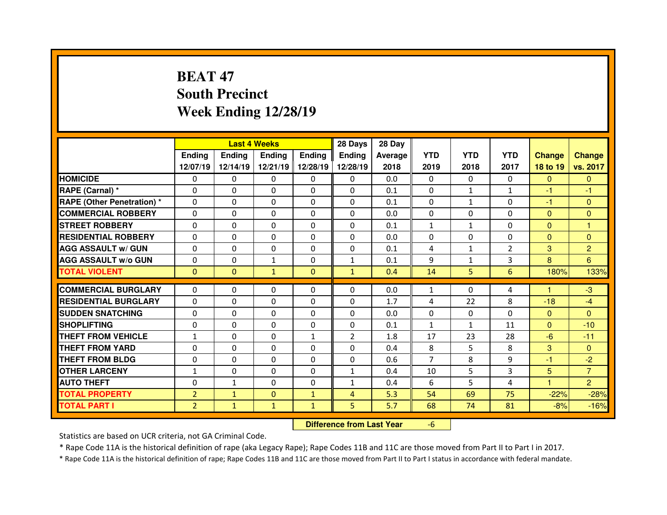# **BEAT 47 South PrecinctWeek Ending 12/28/19**

|                                   |                |               | <b>Last 4 Weeks</b> |              | 28 Days                          | 28 Day  |                |              |                |                |                  |
|-----------------------------------|----------------|---------------|---------------------|--------------|----------------------------------|---------|----------------|--------------|----------------|----------------|------------------|
|                                   | Ending         | <b>Ending</b> | <b>Ending</b>       | Ending       | <b>Ending</b>                    | Average | <b>YTD</b>     | <b>YTD</b>   | <b>YTD</b>     | <b>Change</b>  | <b>Change</b>    |
|                                   | 12/07/19       | 12/14/19      | 12/21/19            | 12/28/19     | 12/28/19                         | 2018    | 2019           | 2018         | 2017           | 18 to 19       | vs. 2017         |
| <b>HOMICIDE</b>                   | 0              | 0             | 0                   | 0            | 0                                | 0.0     | 0              | $\Omega$     | $\mathbf{0}$   | $\mathbf{0}$   | $\mathbf{0}$     |
| RAPE (Carnal) *                   | $\Omega$       | 0             | 0                   | 0            | 0                                | 0.1     | 0              | $\mathbf{1}$ | $\mathbf{1}$   | $-1$           | $-1$             |
| <b>RAPE (Other Penetration) *</b> | 0              | 0             | 0                   | $\Omega$     | $\Omega$                         | 0.1     | $\Omega$       | $\mathbf{1}$ | 0              | $-1$           | $\Omega$         |
| <b>COMMERCIAL ROBBERY</b>         | 0              | 0             | 0                   | 0            | 0                                | 0.0     | 0              | $\Omega$     | 0              | $\mathbf{0}$   | $\mathbf{0}$     |
| <b>STREET ROBBERY</b>             | $\Omega$       | 0             | $\Omega$            | $\mathbf{0}$ | $\Omega$                         | 0.1     | $\mathbf{1}$   | $\mathbf{1}$ | $\Omega$       | $\Omega$       | 1                |
| <b>RESIDENTIAL ROBBERY</b>        | $\Omega$       | 0             | 0                   | 0            | 0                                | 0.0     | 0              | $\Omega$     | $\Omega$       | $\overline{0}$ | $\mathbf{0}$     |
| <b>AGG ASSAULT w/ GUN</b>         | 0              | 0             | 0                   | $\mathbf{0}$ | $\Omega$                         | 0.1     | $\overline{4}$ | $\mathbf{1}$ | $\overline{2}$ | 3              | $\overline{2}$   |
| <b>AGG ASSAULT w/o GUN</b>        | $\Omega$       | 0             | $\mathbf{1}$        | $\Omega$     | $\mathbf{1}$                     | 0.1     | 9              | $\mathbf{1}$ | 3              | 8              | $6 \overline{6}$ |
| <b>TOTAL VIOLENT</b>              | $\mathbf{0}$   | $\mathbf{0}$  | $\mathbf{1}$        | $\mathbf{0}$ | $\mathbf{1}$                     | 0.4     | 14             | 5            | 6              | 180%           | 133%             |
| <b>COMMERCIAL BURGLARY</b>        | $\Omega$       | 0             | $\Omega$            | $\Omega$     | $\Omega$                         | 0.0     | $\mathbf{1}$   | $\Omega$     | 4              | н              | $-3$             |
| <b>RESIDENTIAL BURGLARY</b>       | $\Omega$       | 0             | 0                   | $\Omega$     | $\Omega$                         | 1.7     | 4              | 22           | 8              | $-18$          | $-4$             |
| <b>SUDDEN SNATCHING</b>           | $\Omega$       | 0             | $\Omega$            | $\Omega$     | $\Omega$                         | 0.0     | $\Omega$       | $\Omega$     | $\Omega$       | $\overline{0}$ | $\Omega$         |
| <b>SHOPLIFTING</b>                | 0              | 0             | 0                   | $\mathbf{0}$ | $\Omega$                         | 0.1     | $\mathbf{1}$   | $\mathbf{1}$ | 11             | $\mathbf{0}$   | $-10$            |
| <b>THEFT FROM VEHICLE</b>         | $\mathbf{1}$   | 0             | $\Omega$            | $\mathbf{1}$ | $\overline{2}$                   | 1.8     | 17             | 23           | 28             | $-6$           | $-11$            |
| <b>THEFT FROM YARD</b>            | 0              | 0             | $\Omega$            | $\mathbf{0}$ | $\Omega$                         | 0.4     | 8              | 5            | 8              | 3              | $\Omega$         |
| <b>THEFT FROM BLDG</b>            | 0              | 0             | 0                   | 0            | 0                                | 0.6     | $\overline{7}$ | 8            | 9              | -1             | $-2$             |
| <b>OTHER LARCENY</b>              | $\mathbf{1}$   | 0             | 0                   | $\mathbf{0}$ | 1                                | 0.4     | 10             | 5            | 3              | 5              | $\overline{7}$   |
| <b>AUTO THEFT</b>                 | $\Omega$       | $\mathbf{1}$  | 0                   | 0            | $\mathbf{1}$                     | 0.4     | 6              | 5            | 4              | н              | $\overline{2}$   |
| <b>TOTAL PROPERTY</b>             | $\overline{2}$ | $\mathbf{1}$  | $\Omega$            | $\mathbf{1}$ | $\overline{4}$                   | 5.3     | 54             | 69           | 75             | $-22%$         | $-28%$           |
| <b>TOTAL PART I</b>               | $\overline{2}$ | $\mathbf{1}$  | $\mathbf{1}$        | $\mathbf{1}$ | 5                                | 5.7     | 68             | 74           | 81             | $-8%$          | $-16%$           |
|                                   |                |               |                     |              | <b>Difference from Last Year</b> |         | $-6$           |              |                |                |                  |

 **Difference from Last Year**

Statistics are based on UCR criteria, not GA Criminal Code.

\* Rape Code 11A is the historical definition of rape (aka Legacy Rape); Rape Codes 11B and 11C are those moved from Part II to Part I in 2017.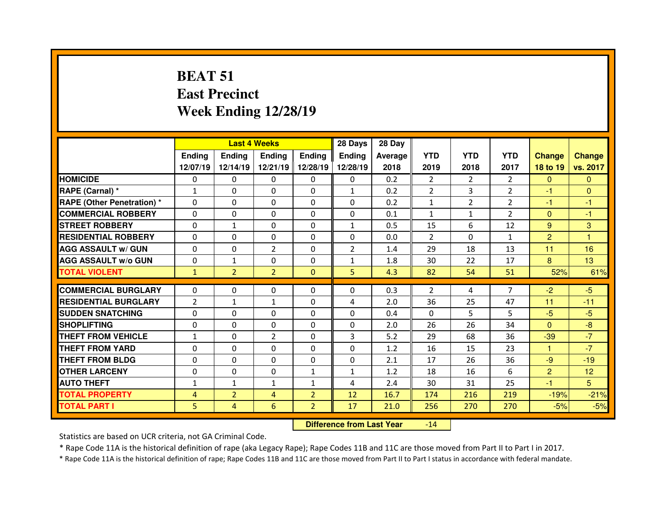# **BEAT 51 East PrecinctWeek Ending 12/28/19**

|                             |                |                | <b>Last 4 Weeks</b> |                | 28 Days        | 28 Day    |                |                |                |                |                 |
|-----------------------------|----------------|----------------|---------------------|----------------|----------------|-----------|----------------|----------------|----------------|----------------|-----------------|
|                             | <b>Ending</b>  | <b>Endina</b>  | <b>Ending</b>       | <b>Endina</b>  | Ending         | Average I | <b>YTD</b>     | <b>YTD</b>     | <b>YTD</b>     | <b>Change</b>  | <b>Change</b>   |
|                             | 12/07/19       | 12/14/19       | 12/21/19 12/28/19   |                | 12/28/19       | 2018      | 2019           | 2018           | 2017           | 18 to 19       | vs. 2017        |
| <b>HOMICIDE</b>             | $\Omega$       | $\mathbf{0}$   | 0                   | $\Omega$       | $\Omega$       | 0.2       | $\overline{2}$ | $\overline{2}$ | $\mathcal{P}$  | $\Omega$       | $\Omega$        |
| RAPE (Carnal) *             | $\mathbf{1}$   | 0              | $\Omega$            | $\Omega$       | $\mathbf{1}$   | 0.2       | $\overline{2}$ | 3              | $\overline{2}$ | $-1$           | $\mathbf{0}$    |
| RAPE (Other Penetration) *  | $\Omega$       | 0              | $\Omega$            | $\Omega$       | $\Omega$       | 0.2       | $\mathbf{1}$   | $\overline{2}$ | $\mathcal{P}$  | $-1$           | $-1$            |
| <b>COMMERCIAL ROBBERY</b>   | 0              | 0              | 0                   | $\Omega$       | 0              | 0.1       | $\mathbf{1}$   | $\mathbf{1}$   | $\overline{2}$ | $\overline{0}$ | $-1$            |
| <b>STREET ROBBERY</b>       | $\Omega$       | $\mathbf{1}$   | $\Omega$            | $\Omega$       | $\mathbf{1}$   | 0.5       | 15             | 6              | 12             | $\overline{9}$ | 3               |
| <b>RESIDENTIAL ROBBERY</b>  | 0              | $\Omega$       | $\Omega$            | $\Omega$       | $\Omega$       | 0.0       | 2              | $\Omega$       | $\mathbf{1}$   | $\overline{2}$ | $\overline{1}$  |
| <b>AGG ASSAULT w/ GUN</b>   | 0              | 0              | $\overline{2}$      | $\Omega$       | $\overline{2}$ | 1.4       | 29             | 18             | 13             | 11             | 16              |
| <b>AGG ASSAULT w/o GUN</b>  | $\Omega$       | $\mathbf{1}$   | 0                   | $\Omega$       | $\mathbf{1}$   | 1.8       | 30             | 22             | 17             | 8              | 13 <sup>°</sup> |
| <b>TOTAL VIOLENT</b>        | $\mathbf{1}$   | $\overline{2}$ | $\overline{2}$      | $\mathbf{0}$   | 5              | 4.3       | 82             | 54             | 51             | 52%            | 61%             |
|                             |                |                |                     |                |                |           |                | 4              | $\overline{7}$ |                |                 |
| <b>COMMERCIAL BURGLARY</b>  | $\Omega$       | $\Omega$       | $\Omega$            | $\Omega$       | 0              | 0.3       | 2              |                |                | $-2$           | $-5$            |
| <b>RESIDENTIAL BURGLARY</b> | $\overline{2}$ | $\mathbf{1}$   | $\mathbf{1}$        | $\Omega$       | 4              | 2.0       | 36             | 25             | 47             | 11             | $-11$           |
| <b>SUDDEN SNATCHING</b>     | $\Omega$       | $\Omega$       | $\Omega$            | $\Omega$       | $\Omega$       | 0.4       | $\Omega$       | 5              | 5.             | $-5$           | $-5$            |
| <b>SHOPLIFTING</b>          | $\Omega$       | $\Omega$       | $\Omega$            | $\Omega$       | $\Omega$       | 2.0       | 26             | 26             | 34             | $\overline{0}$ | $-8$            |
| <b>THEFT FROM VEHICLE</b>   | $\mathbf{1}$   | $\Omega$       | $\overline{2}$      | $\Omega$       | 3              | 5.2       | 29             | 68             | 36             | $-39$          | $-7$            |
| <b>THEFT FROM YARD</b>      | $\Omega$       | $\Omega$       | $\Omega$            | $\Omega$       | 0              | 1.2       | 16             | 15             | 23             | 1.             | $-7$            |
| <b>THEFT FROM BLDG</b>      | 0              | $\Omega$       | $\Omega$            | $\Omega$       | $\Omega$       | 2.1       | 17             | 26             | 36             | $-9$           | $-19$           |
| <b>OTHER LARCENY</b>        | 0              | 0              | $\Omega$            | $\mathbf{1}$   | $\mathbf{1}$   | 1.2       | 18             | 16             | 6              | $\overline{2}$ | 12              |
| <b>AUTO THEFT</b>           | $\mathbf{1}$   | $\mathbf{1}$   | $\mathbf{1}$        | $\mathbf{1}$   | 4              | 2.4       | 30             | 31             | 25             | $-1$           | 5               |
| <b>TOTAL PROPERTY</b>       | $\overline{4}$ | $\overline{2}$ | 4                   | $\overline{2}$ | 12             | 16.7      | 174            | 216            | 219            | $-19%$         | $-21%$          |
| <b>TOTAL PART I</b>         | 5              | $\overline{4}$ | 6                   | $\overline{2}$ | 17             | 21.0      | 256            | 270            | 270            | $-5%$          | $-5%$           |

 **Difference from Last Year**-14

Statistics are based on UCR criteria, not GA Criminal Code.

\* Rape Code 11A is the historical definition of rape (aka Legacy Rape); Rape Codes 11B and 11C are those moved from Part II to Part I in 2017.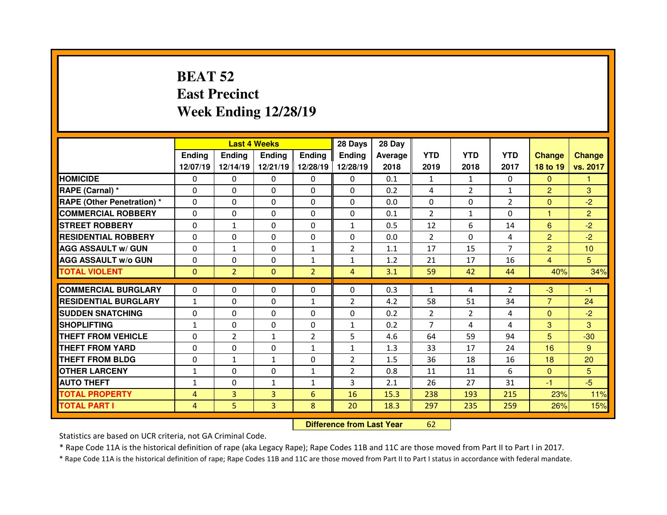# **BEAT 52 East PrecinctWeek Ending 12/28/19**

|                                   |                |                | <b>Last 4 Weeks</b> |                | 28 Days                          | 28 Day         |                |                |                |                |                |
|-----------------------------------|----------------|----------------|---------------------|----------------|----------------------------------|----------------|----------------|----------------|----------------|----------------|----------------|
|                                   | <b>Ending</b>  | <b>Ending</b>  | <b>Ending</b>       | <b>Ending</b>  | <b>Ending</b>                    | <b>Average</b> | <b>YTD</b>     | <b>YTD</b>     | <b>YTD</b>     | <b>Change</b>  | <b>Change</b>  |
|                                   | 12/07/19       | 12/14/19       | 12/21/19            | 12/28/19       | 12/28/19                         | 2018           | 2019           | 2018           | 2017           | 18 to 19       | vs. 2017       |
| <b>HOMICIDE</b>                   | 0              | 0              | 0                   | $\Omega$       | 0                                | 0.1            | 1              | 1              | $\Omega$       | $\Omega$       |                |
| <b>RAPE (Carnal) *</b>            | $\Omega$       | 0              | $\Omega$            | $\Omega$       | $\Omega$                         | 0.2            | 4              | $\overline{2}$ | $\mathbf{1}$   | $\overline{2}$ | 3              |
| <b>RAPE (Other Penetration) *</b> | $\Omega$       | 0              | $\Omega$            | 0              | 0                                | 0.0            | $\Omega$       | $\Omega$       | $\overline{2}$ | $\overline{0}$ | $-2$           |
| <b>COMMERCIAL ROBBERY</b>         | $\Omega$       | 0              | $\mathbf{0}$        | $\Omega$       | $\Omega$                         | 0.1            | $\overline{2}$ | $\mathbf{1}$   | $\Omega$       | 1              | $\overline{2}$ |
| <b>STREET ROBBERY</b>             | $\Omega$       | $\mathbf{1}$   | $\mathbf{0}$        | $\Omega$       | $\mathbf{1}$                     | 0.5            | 12             | 6              | 14             | 6              | $-2$           |
| <b>RESIDENTIAL ROBBERY</b>        | $\mathbf{0}$   | 0              | $\mathbf{0}$        | $\Omega$       | 0                                | 0.0            | $\overline{2}$ | $\Omega$       | 4              | $\overline{2}$ | $-2$           |
| <b>AGG ASSAULT w/ GUN</b>         | 0              | $\mathbf{1}$   | $\mathbf{0}$        | $\mathbf{1}$   | $\overline{2}$                   | 1.1            | 17             | 15             | $\overline{7}$ | $\overline{2}$ | 10             |
| <b>AGG ASSAULT w/o GUN</b>        | 0              | 0              | 0                   | $\mathbf{1}$   | $\mathbf{1}$                     | 1.2            | 21             | 17             | 16             | $\overline{4}$ | 5              |
| <b>TOTAL VIOLENT</b>              | $\mathbf{0}$   | $\overline{2}$ | $\mathbf{0}$        | $\overline{2}$ | $\overline{4}$                   | 3.1            | 59             | 42             | 44             | 40%            | 34%            |
| <b>COMMERCIAL BURGLARY</b>        | 0              | 0              | 0                   | $\Omega$       | 0                                | 0.3            | $\mathbf{1}$   | 4              | $\overline{2}$ | $-3$           | $-1$           |
| <b>RESIDENTIAL BURGLARY</b>       | $\mathbf{1}$   | 0              | 0                   | $\mathbf{1}$   | 2                                | 4.2            | 58             | 51             | 34             | $\overline{7}$ | 24             |
| <b>SUDDEN SNATCHING</b>           | 0              | 0              | 0                   | $\Omega$       | 0                                | 0.2            | 2              | $\overline{2}$ | 4              | $\overline{0}$ | $-2$           |
| <b>SHOPLIFTING</b>                | $\mathbf{1}$   | 0              | $\Omega$            | $\Omega$       | $\mathbf{1}$                     | 0.2            | $\overline{7}$ | 4              | 4              | 3              | 3              |
| <b>THEFT FROM VEHICLE</b>         | 0              | $\overline{2}$ | $\mathbf{1}$        | $\overline{2}$ | 5                                | 4.6            | 64             | 59             | 94             | 5              | $-30$          |
| <b>THEFT FROM YARD</b>            | 0              | 0              | 0                   | $\mathbf{1}$   | $\mathbf{1}$                     | 1.3            | 33             | 17             | 24             | 16             | 9              |
| <b>THEFT FROM BLDG</b>            | 0              | $\mathbf{1}$   | $\mathbf{1}$        | 0              | $\overline{2}$                   | 1.5            | 36             | 18             | 16             | 18             | 20             |
| <b>OTHER LARCENY</b>              | $\mathbf{1}$   | 0              | 0                   | $\mathbf{1}$   | $\overline{2}$                   | 0.8            | 11             | 11             | 6              | $\overline{0}$ | 5              |
| <b>AUTO THEFT</b>                 | $\mathbf{1}$   | $\Omega$       | $\mathbf{1}$        | $\mathbf{1}$   | $\overline{3}$                   | 2.1            | 26             | 27             | 31             | $-1$           | $-5$           |
| <b>TOTAL PROPERTY</b>             | $\overline{4}$ | 3              | 3                   | 6              | 16                               | 15.3           | 238            | 193            | 215            | 23%            | 11%            |
| <b>TOTAL PART I</b>               | $\overline{4}$ | 5              | 3                   | 8              | 20                               | 18.3           | 297            | 235            | 259            | 26%            | 15%            |
|                                   |                |                |                     |                | <b>Difference from Last Year</b> |                | 62             |                |                |                |                |

Statistics are based on UCR criteria, not GA Criminal Code.

\* Rape Code 11A is the historical definition of rape (aka Legacy Rape); Rape Codes 11B and 11C are those moved from Part II to Part I in 2017.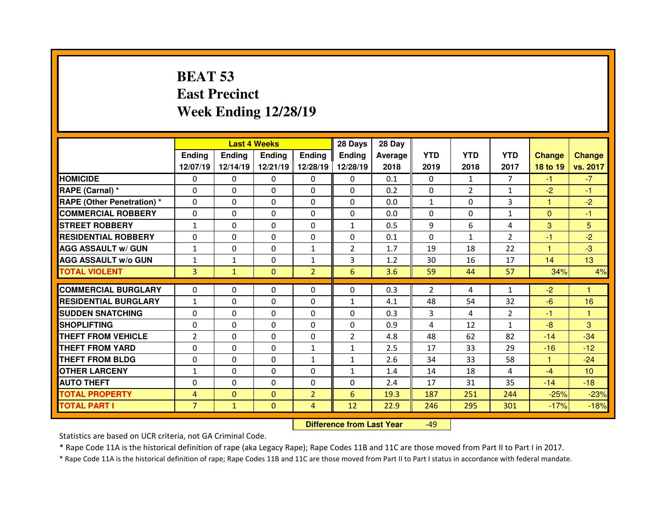# **BEAT 53 East PrecinctWeek Ending 12/28/19**

|                                  |                |               | <b>Last 4 Weeks</b> |                | 28 Days        | 28 Day  |              |                |                |               |                 |
|----------------------------------|----------------|---------------|---------------------|----------------|----------------|---------|--------------|----------------|----------------|---------------|-----------------|
|                                  | Ending         | <b>Endina</b> | Ending              | <b>Ending</b>  | <b>Ending</b>  | Average | <b>YTD</b>   | <b>YTD</b>     | <b>YTD</b>     | <b>Change</b> | <b>Change</b>   |
|                                  | 12/07/19       | 12/14/19      | 12/21/19            | 12/28/19       | 12/28/19       | 2018    | 2019         | 2018           | 2017           | 18 to 19      | vs. 2017        |
| <b>HOMICIDE</b>                  | 0              | 0             | $\Omega$            | $\Omega$       | 0              | 0.1     | $\Omega$     | $\mathbf{1}$   | $\overline{7}$ | $-1$          | $-7$            |
| RAPE (Carnal) *                  | $\Omega$       | 0             | 0                   | $\Omega$       | $\Omega$       | 0.2     | $\mathbf{0}$ | $\overline{2}$ | $\mathbf{1}$   | $-2$          | $-1$            |
| <b>RAPE (Other Penetration)*</b> | $\Omega$       | 0             | $\Omega$            | $\Omega$       | $\Omega$       | 0.0     | $\mathbf{1}$ | $\Omega$       | 3              | 1             | $-2$            |
| <b>COMMERCIAL ROBBERY</b>        | $\Omega$       | 0             | $\Omega$            | $\Omega$       | $\Omega$       | 0.0     | $\Omega$     | $\Omega$       | $\mathbf{1}$   | $\Omega$      | -1              |
| <b>STREET ROBBERY</b>            | $\mathbf{1}$   | 0             | $\Omega$            | $\Omega$       | $\mathbf{1}$   | 0.5     | 9            | 6              | 4              | 3             | 5               |
| <b>RESIDENTIAL ROBBERY</b>       | $\Omega$       | 0             | $\Omega$            | $\mathbf{0}$   | $\Omega$       | 0.1     | $\Omega$     | $\mathbf{1}$   | $\overline{2}$ | $-1$          | $-2$            |
| <b>AGG ASSAULT w/ GUN</b>        | $\mathbf{1}$   | 0             | $\Omega$            | $\mathbf{1}$   | $\overline{2}$ | 1.7     | 19           | 18             | 22             | 1             | $-3$            |
| <b>AGG ASSAULT w/o GUN</b>       | $\mathbf{1}$   | $\mathbf{1}$  | 0                   | $\mathbf{1}$   | 3              | 1.2     | 30           | 16             | 17             | 14            | 13 <sup>°</sup> |
| <b>TOTAL VIOLENT</b>             | 3              | $\mathbf{1}$  | $\mathbf{0}$        | $\overline{2}$ | 6              | 3.6     | 59           | 44             | 57             | 34%           | 4%              |
|                                  |                |               |                     |                |                |         |              |                |                |               | 1               |
| <b>COMMERCIAL BURGLARY</b>       | 0              | 0             | 0                   | $\mathbf{0}$   | $\Omega$       | 0.3     | 2            | 4              | 1              | $-2$          |                 |
| <b>RESIDENTIAL BURGLARY</b>      | $\mathbf{1}$   | 0             | $\Omega$            | 0              | 1              | 4.1     | 48           | 54             | 32             | $-6$          | 16              |
| <b>SUDDEN SNATCHING</b>          | 0              | 0             | 0                   | $\mathbf{0}$   | $\Omega$       | 0.3     | 3            | 4              | $\overline{2}$ | -1            | $\mathbf{1}$    |
| <b>SHOPLIFTING</b>               | $\Omega$       | 0             | $\Omega$            | $\Omega$       | $\Omega$       | 0.9     | 4            | 12             | 1              | $-8$          | 3               |
| THEFT FROM VEHICLE               | $\overline{2}$ | 0             | 0                   | $\mathbf{0}$   | $\overline{2}$ | 4.8     | 48           | 62             | 82             | $-14$         | $-34$           |
| <b>THEFT FROM YARD</b>           | 0              | 0             | $\Omega$            | $\mathbf{1}$   | $\mathbf{1}$   | 2.5     | 17           | 33             | 29             | $-16$         | $-12$           |
|                                  |                |               |                     |                |                |         |              |                |                |               |                 |
| <b>THEFT FROM BLDG</b>           | $\Omega$       | 0             | 0                   | $\mathbf{1}$   | $\mathbf{1}$   | 2.6     | 34           | 33             | 58             | 1             | $-24$           |
| <b>OTHER LARCENY</b>             | $\mathbf{1}$   | 0             | $\Omega$            | $\Omega$       | $\mathbf{1}$   | 1.4     | 14           | 18             | 4              | $-4$          | 10 <sup>°</sup> |
| <b>AUTO THEFT</b>                | $\Omega$       | 0             | $\Omega$            | $\Omega$       | $\Omega$       | 2.4     | 17           | 31             | 35             | $-14$         | $-18$           |
| <b>TOTAL PROPERTY</b>            | $\overline{4}$ | $\Omega$      | $\Omega$            | $\overline{2}$ | 6              | 19.3    | 187          | 251            | 244            | $-25%$        | $-23%$          |
| <b>TOTAL PART I</b>              | $\overline{7}$ | $\mathbf{1}$  | $\mathbf{0}$        | 4              | 12             | 22.9    | 246          | 295            | 301            | $-17%$        | $-18%$          |

 **Difference from Last Year**-49

Statistics are based on UCR criteria, not GA Criminal Code.

\* Rape Code 11A is the historical definition of rape (aka Legacy Rape); Rape Codes 11B and 11C are those moved from Part II to Part I in 2017.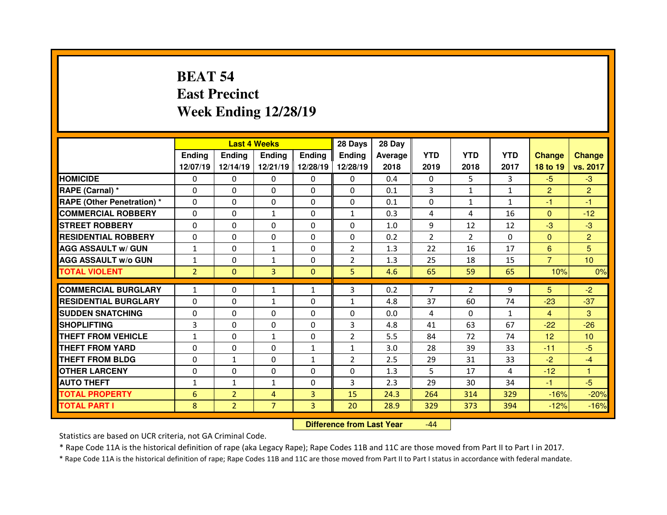# **BEAT 54 East PrecinctWeek Ending 12/28/19**

|                                  |                |                | <b>Last 4 Weeks</b> |                   | 28 Days        | 28 Day  |                |                |              |                 |                 |
|----------------------------------|----------------|----------------|---------------------|-------------------|----------------|---------|----------------|----------------|--------------|-----------------|-----------------|
|                                  | Ending         | <b>Endina</b>  | <b>Ending</b>       | <b>Ending</b>     | <b>Ending</b>  | Average | <b>YTD</b>     | <b>YTD</b>     | <b>YTD</b>   | <b>Change</b>   | <b>Change</b>   |
|                                  | 12/07/19       | 12/14/19       |                     | 12/21/19 12/28/19 | 12/28/19       | 2018    | 2019           | 2018           | 2017         | 18 to 19        | vs. 2017        |
| <b>HOMICIDE</b>                  | $\Omega$       | 0              | $\Omega$            | $\Omega$          | 0              | 0.4     | $\Omega$       | 5.             | 3            | $-5$            | $-3$            |
| RAPE (Carnal) *                  | 0              | $\Omega$       | $\mathbf{0}$        | $\Omega$          | 0              | 0.1     | 3              | $\mathbf{1}$   | $\mathbf{1}$ | $\overline{2}$  | $\overline{2}$  |
| <b>RAPE (Other Penetration)*</b> | 0              | $\Omega$       | $\Omega$            | $\Omega$          | 0              | 0.1     | 0              | $\mathbf{1}$   | $\mathbf{1}$ | -1              | -1              |
| <b>COMMERCIAL ROBBERY</b>        | $\Omega$       | 0              | $\mathbf{1}$        | $\Omega$          | $\mathbf{1}$   | 0.3     | 4              | 4              | 16           | $\mathbf{0}$    | $-12$           |
| <b>STREET ROBBERY</b>            | 0              | $\Omega$       | $\Omega$            | $\Omega$          | $\Omega$       | 1.0     | 9              | 12             | 12           | $-3$            | $-3$            |
| <b>RESIDENTIAL ROBBERY</b>       | $\Omega$       | $\Omega$       | $\mathbf{0}$        | $\Omega$          | $\Omega$       | 0.2     | $\overline{2}$ | $\mathcal{P}$  | $\Omega$     | $\mathbf{0}$    | $\overline{2}$  |
| <b>AGG ASSAULT w/ GUN</b>        | $\mathbf{1}$   | 0              | $\mathbf{1}$        | $\Omega$          | $\overline{2}$ | 1.3     | 22             | 16             | 17           | 6               | 5               |
| <b>AGG ASSAULT w/o GUN</b>       | $\mathbf{1}$   | $\Omega$       | $\mathbf{1}$        | $\Omega$          | $\overline{2}$ | 1.3     | 25             | 18             | 15           | $\overline{7}$  | 10 <sup>°</sup> |
| <b>TOTAL VIOLENT</b>             | $\overline{2}$ | $\mathbf{0}$   | 3                   | $\mathbf{0}$      | 5              | 4.6     | 65             | 59             | 65           | 10%             | 0%              |
|                                  |                |                |                     |                   |                |         |                |                |              |                 |                 |
| <b>COMMERCIAL BURGLARY</b>       | $\mathbf{1}$   | 0              | 1                   | 1                 | 3              | 0.2     | $\overline{7}$ | $\overline{2}$ | 9            | 5               | $-2$            |
| <b>RESIDENTIAL BURGLARY</b>      | $\Omega$       | 0              | $\mathbf{1}$        | $\Omega$          | $\mathbf{1}$   | 4.8     | 37             | 60             | 74           | $-23$           | $-37$           |
| <b>SUDDEN SNATCHING</b>          | 0              | $\Omega$       | $\Omega$            | $\Omega$          | 0              | 0.0     | 4              | $\Omega$       | $\mathbf{1}$ | $\overline{4}$  | 3               |
| <b>SHOPLIFTING</b>               | 3              | $\Omega$       | 0                   | $\Omega$          | 3              | 4.8     | 41             | 63             | 67           | $-22$           | $-26$           |
| <b>THEFT FROM VEHICLE</b>        | $\mathbf{1}$   | 0              | $\mathbf{1}$        | $\Omega$          | $\overline{2}$ | 5.5     | 84             | 72             | 74           | 12 <sup>2</sup> | 10 <sup>°</sup> |
| <b>THEFT FROM YARD</b>           | 0              | $\Omega$       | 0                   | $\mathbf{1}$      | $\mathbf{1}$   | 3.0     | 28             | 39             | 33           | $-11$           | $-5$            |
|                                  |                |                |                     |                   |                |         |                |                |              |                 |                 |
| <b>THEFT FROM BLDG</b>           | $\mathbf{0}$   | $\mathbf{1}$   | $\mathbf{0}$        | $\mathbf{1}$      | $\overline{2}$ | 2.5     | 29             | 31             | 33           | $-2$            | $-4$            |
| <b>OTHER LARCENY</b>             | 0              | 0              | $\Omega$            | $\Omega$          | 0              | 1.3     | 5              | 17             | 4            | $-12$           | 1               |
| <b>AUTO THEFT</b>                | $\mathbf{1}$   | $\mathbf{1}$   | $\mathbf{1}$        | $\Omega$          | 3              | 2.3     | 29             | 30             | 34           | $-1$            | $-5$            |
| <b>TOTAL PROPERTY</b>            | 6              | $\overline{2}$ | 4                   | $\overline{3}$    | 15             | 24.3    | 264            | 314            | 329          | $-16%$          | $-20%$          |
| <b>TOTAL PART I</b>              | 8              | $\overline{2}$ | $\overline{7}$      | $\overline{3}$    | 20             | 28.9    | 329            | 373            | 394          | $-12%$          | $-16%$          |

 **Difference from Last Year**-44

Statistics are based on UCR criteria, not GA Criminal Code.

\* Rape Code 11A is the historical definition of rape (aka Legacy Rape); Rape Codes 11B and 11C are those moved from Part II to Part I in 2017.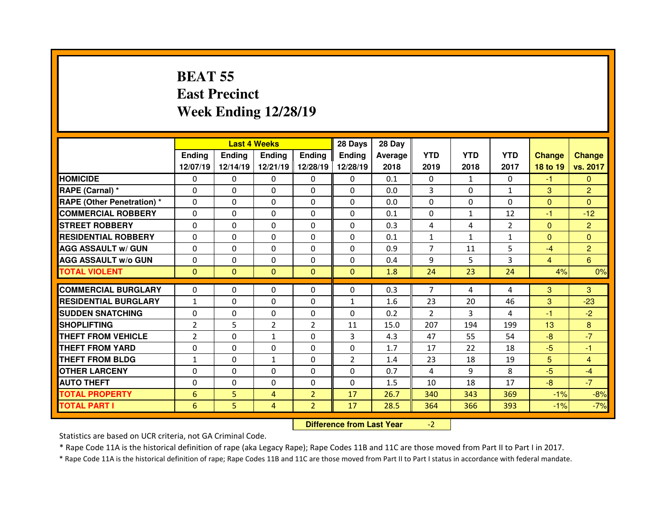### **BEAT 55 East PrecinctWeek Ending 12/28/19**

|                                   |                |               | <b>Last 4 Weeks</b> |                | 28 Days                          | 28 Day  |                |              |                |                |                |
|-----------------------------------|----------------|---------------|---------------------|----------------|----------------------------------|---------|----------------|--------------|----------------|----------------|----------------|
|                                   | <b>Ending</b>  | <b>Ending</b> | <b>Ending</b>       | Ending         | <b>Ending</b>                    | Average | <b>YTD</b>     | <b>YTD</b>   | <b>YTD</b>     | <b>Change</b>  | <b>Change</b>  |
|                                   | 12/07/19       | 12/14/19      | 12/21/19            | 12/28/19       | 12/28/19                         | 2018    | 2019           | 2018         | 2017           | 18 to 19       | vs. 2017       |
| <b>HOMICIDE</b>                   | $\mathbf{0}$   | 0             | 0                   | 0              | $\mathbf{0}$                     | 0.1     | 0              | $\mathbf{1}$ | $\Omega$       | $-1$           | $\Omega$       |
| RAPE (Carnal) *                   | $\Omega$       | 0             | 0                   | $\Omega$       | 0                                | 0.0     | 3              | $\Omega$     | $\mathbf{1}$   | 3              | $\overline{2}$ |
| <b>RAPE (Other Penetration) *</b> | $\Omega$       | 0             | 0                   | 0              | 0                                | 0.0     | $\Omega$       | $\Omega$     | $\Omega$       | $\mathbf{0}$   | $\Omega$       |
| <b>COMMERCIAL ROBBERY</b>         | 0              | 0             | $\Omega$            | $\Omega$       | 0                                | 0.1     | 0              | $\mathbf{1}$ | 12             | $-1$           | $-12$          |
| <b>STREET ROBBERY</b>             | $\Omega$       | $\Omega$      | 0                   | $\Omega$       | 0                                | 0.3     | 4              | 4            | $\overline{2}$ | $\mathbf{0}$   | $\overline{2}$ |
| <b>RESIDENTIAL ROBBERY</b>        | $\Omega$       | 0             | 0                   | 0              | $\mathbf{0}$                     | 0.1     | $\mathbf{1}$   | $\mathbf{1}$ | $\mathbf{1}$   | $\mathbf{0}$   | $\Omega$       |
| <b>AGG ASSAULT w/ GUN</b>         | $\Omega$       | $\Omega$      | $\Omega$            | $\Omega$       | $\Omega$                         | 0.9     | $\overline{7}$ | 11           | 5              | $-4$           | $\overline{2}$ |
| <b>AGG ASSAULT w/o GUN</b>        | $\Omega$       | $\Omega$      | $\Omega$            | $\Omega$       | 0                                | 0.4     | 9              | 5            | 3              | $\overline{4}$ | 6 <sup>1</sup> |
| <b>TOTAL VIOLENT</b>              | $\mathbf{0}$   | $\mathbf{0}$  | $\mathbf{0}$        | $\mathbf{0}$   | $\mathbf{0}$                     | 1.8     | 24             | 23           | 24             | 4%             | 0%             |
| <b>COMMERCIAL BURGLARY</b>        | $\Omega$       | 0             | 0                   | 0              | $\mathbf{0}$                     | 0.3     | $\overline{7}$ | 4            | 4              | 3              | 3              |
| <b>RESIDENTIAL BURGLARY</b>       | $\mathbf{1}$   | 0             | $\Omega$            | 0              | $\mathbf{1}$                     | 1.6     | 23             | 20           | 46             | 3              | $-23$          |
| <b>SUDDEN SNATCHING</b>           | $\Omega$       | 0             | 0                   | 0              | 0                                | 0.2     | 2              | 3            | 4              | $-1$           | $-2$           |
| <b>SHOPLIFTING</b>                | $\overline{2}$ | 5             | $\overline{2}$      | $\overline{2}$ | 11                               | 15.0    | 207            | 194          | 199            | 13             | 8              |
| <b>THEFT FROM VEHICLE</b>         | $\overline{2}$ | $\Omega$      | $\mathbf{1}$        | 0              | 3                                | 4.3     | 47             | 55           | 54             | $-8$           | $-7$           |
| <b>THEFT FROM YARD</b>            | 0              | 0             | 0                   | 0              | 0                                | 1.7     | 17             | 22           | 18             | $-5$           | $-1$           |
| <b>THEFT FROM BLDG</b>            | $\mathbf{1}$   | 0             | $\mathbf{1}$        | 0              | $\overline{2}$                   | 1.4     | 23             | 18           | 19             | 5              | $\overline{4}$ |
| <b>OTHER LARCENY</b>              | 0              | $\Omega$      | $\Omega$            | 0              | 0                                | 0.7     | 4              | 9            | 8              | $-5$           | $-4$           |
| <b>AUTO THEFT</b>                 | 0              | 0             | 0                   | 0              | 0                                | 1.5     | 10             | 18           | 17             | $-8$           | $-7$           |
| <b>TOTAL PROPERTY</b>             | 6              | 5             | 4                   | $\overline{2}$ | 17                               | 26.7    | 340            | 343          | 369            | $-1%$          | $-8%$          |
| <b>TOTAL PART I</b>               | 6              | 5             | 4                   | $\overline{2}$ | 17                               | 28.5    | 364            | 366          | 393            | $-1%$          | $-7%$          |
|                                   |                |               |                     |                | <b>Difference from Last Year</b> |         | $-2$           |              |                |                |                |

 **Difference from Last Year**

Statistics are based on UCR criteria, not GA Criminal Code.

\* Rape Code 11A is the historical definition of rape (aka Legacy Rape); Rape Codes 11B and 11C are those moved from Part II to Part I in 2017.